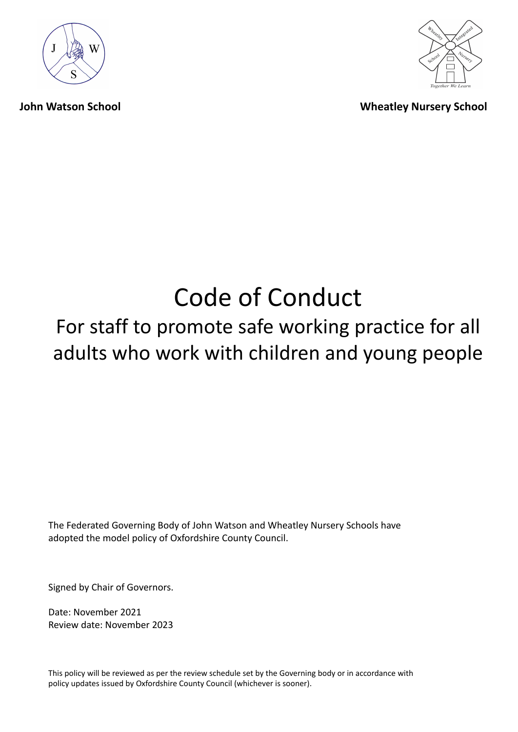



**John Watson School Wheatley Nursery School**

# Code of Conduct

## For staff to promote safe working practice for all adults who work with children and young people

The Federated Governing Body of John Watson and Wheatley Nursery Schools have adopted the model policy of Oxfordshire County Council.

Signed by Chair of Governors.

Date: November 2021 Review date: November 2023

This policy will be reviewed as per the review schedule set by the Governing body or in accordance with policy updates issued by Oxfordshire County Council (whichever is sooner).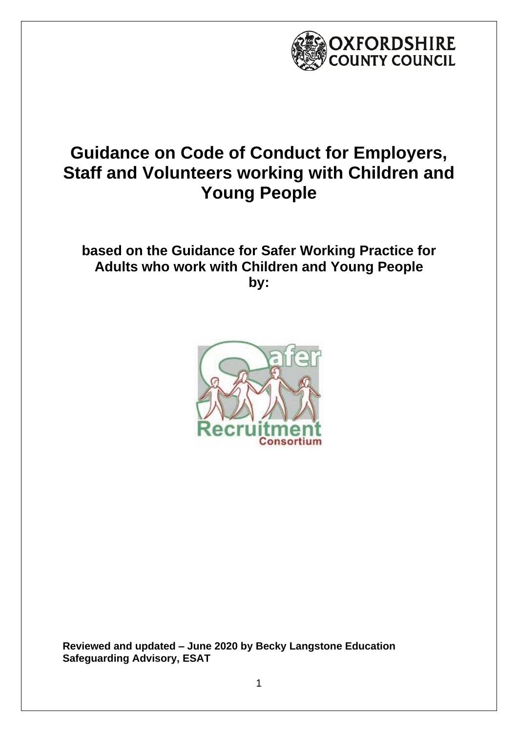

## **Guidance on Code of Conduct for Employers, Staff and Volunteers working with Children and Young People**

## **based on the Guidance for Safer Working Practice for Adults who work with Children and Young People by:**



**Reviewed and updated – June 2020 by Becky Langstone Education Safeguarding Advisory, ESAT**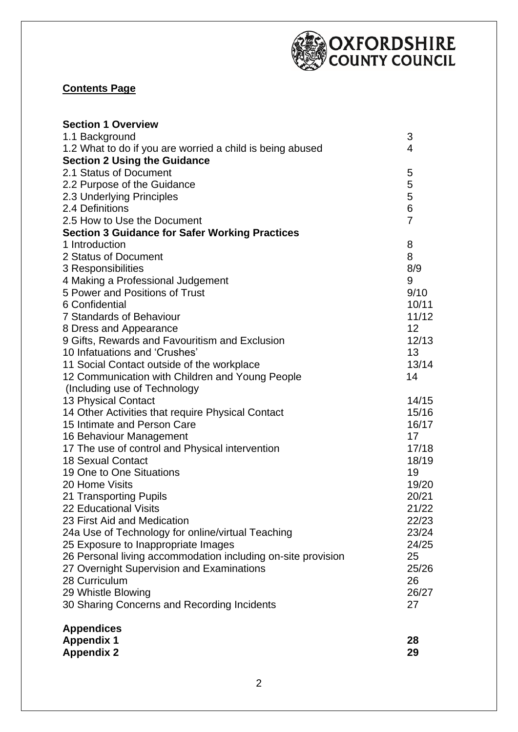

#### **Contents Page**

| 3<br>1.1 Background<br>1.2 What to do if you are worried a child is being abused<br>4<br><b>Section 2 Using the Guidance</b><br>2.1 Status of Document<br>5<br>5<br>2.2 Purpose of the Guidance<br>5<br>2.3 Underlying Principles<br>6<br>2.4 Definitions<br>$\overline{7}$<br>2.5 How to Use the Document<br><b>Section 3 Guidance for Safer Working Practices</b><br>8<br>1 Introduction<br>8<br>2 Status of Document<br>8/9<br>3 Responsibilities<br>4 Making a Professional Judgement<br>9<br>5 Power and Positions of Trust<br>6 Confidential<br>7 Standards of Behaviour<br>12<br>8 Dress and Appearance<br>9 Gifts, Rewards and Favouritism and Exclusion<br>10 Infatuations and 'Crushes'<br>13<br>11 Social Contact outside of the workplace<br>14<br>12 Communication with Children and Young People<br>(Including use of Technology)<br>13 Physical Contact<br>14 Other Activities that require Physical Contact<br>15 Intimate and Person Care<br>16 Behaviour Management<br>17<br>17 The use of control and Physical intervention<br><b>18 Sexual Contact</b><br>19 One to One Situations<br>19<br>20 Home Visits<br>21 Transporting Pupils<br>21/22<br>22 Educational Visits<br>23 First Aid and Medication<br>22/23<br>24a Use of Technology for online/virtual Teaching<br>23/24<br>25 Exposure to Inappropriate Images<br>24/25<br>26 Personal living accommodation including on-site provision<br>25<br>27 Overnight Supervision and Examinations<br>25/26<br>28 Curriculum<br>26<br>29 Whistle Blowing<br>26/27<br>30 Sharing Concerns and Recording Incidents<br>27<br><b>Appendices</b><br><b>Appendix 1</b><br>28<br><b>Appendix 2</b><br>29 | <b>Section 1 Overview</b> |       |
|--------------------------------------------------------------------------------------------------------------------------------------------------------------------------------------------------------------------------------------------------------------------------------------------------------------------------------------------------------------------------------------------------------------------------------------------------------------------------------------------------------------------------------------------------------------------------------------------------------------------------------------------------------------------------------------------------------------------------------------------------------------------------------------------------------------------------------------------------------------------------------------------------------------------------------------------------------------------------------------------------------------------------------------------------------------------------------------------------------------------------------------------------------------------------------------------------------------------------------------------------------------------------------------------------------------------------------------------------------------------------------------------------------------------------------------------------------------------------------------------------------------------------------------------------------------------------------------------------------------------------------------------------------------------|---------------------------|-------|
|                                                                                                                                                                                                                                                                                                                                                                                                                                                                                                                                                                                                                                                                                                                                                                                                                                                                                                                                                                                                                                                                                                                                                                                                                                                                                                                                                                                                                                                                                                                                                                                                                                                                    |                           |       |
|                                                                                                                                                                                                                                                                                                                                                                                                                                                                                                                                                                                                                                                                                                                                                                                                                                                                                                                                                                                                                                                                                                                                                                                                                                                                                                                                                                                                                                                                                                                                                                                                                                                                    |                           |       |
|                                                                                                                                                                                                                                                                                                                                                                                                                                                                                                                                                                                                                                                                                                                                                                                                                                                                                                                                                                                                                                                                                                                                                                                                                                                                                                                                                                                                                                                                                                                                                                                                                                                                    |                           |       |
|                                                                                                                                                                                                                                                                                                                                                                                                                                                                                                                                                                                                                                                                                                                                                                                                                                                                                                                                                                                                                                                                                                                                                                                                                                                                                                                                                                                                                                                                                                                                                                                                                                                                    |                           |       |
|                                                                                                                                                                                                                                                                                                                                                                                                                                                                                                                                                                                                                                                                                                                                                                                                                                                                                                                                                                                                                                                                                                                                                                                                                                                                                                                                                                                                                                                                                                                                                                                                                                                                    |                           |       |
|                                                                                                                                                                                                                                                                                                                                                                                                                                                                                                                                                                                                                                                                                                                                                                                                                                                                                                                                                                                                                                                                                                                                                                                                                                                                                                                                                                                                                                                                                                                                                                                                                                                                    |                           |       |
|                                                                                                                                                                                                                                                                                                                                                                                                                                                                                                                                                                                                                                                                                                                                                                                                                                                                                                                                                                                                                                                                                                                                                                                                                                                                                                                                                                                                                                                                                                                                                                                                                                                                    |                           |       |
|                                                                                                                                                                                                                                                                                                                                                                                                                                                                                                                                                                                                                                                                                                                                                                                                                                                                                                                                                                                                                                                                                                                                                                                                                                                                                                                                                                                                                                                                                                                                                                                                                                                                    |                           |       |
|                                                                                                                                                                                                                                                                                                                                                                                                                                                                                                                                                                                                                                                                                                                                                                                                                                                                                                                                                                                                                                                                                                                                                                                                                                                                                                                                                                                                                                                                                                                                                                                                                                                                    |                           |       |
|                                                                                                                                                                                                                                                                                                                                                                                                                                                                                                                                                                                                                                                                                                                                                                                                                                                                                                                                                                                                                                                                                                                                                                                                                                                                                                                                                                                                                                                                                                                                                                                                                                                                    |                           |       |
|                                                                                                                                                                                                                                                                                                                                                                                                                                                                                                                                                                                                                                                                                                                                                                                                                                                                                                                                                                                                                                                                                                                                                                                                                                                                                                                                                                                                                                                                                                                                                                                                                                                                    |                           |       |
|                                                                                                                                                                                                                                                                                                                                                                                                                                                                                                                                                                                                                                                                                                                                                                                                                                                                                                                                                                                                                                                                                                                                                                                                                                                                                                                                                                                                                                                                                                                                                                                                                                                                    |                           |       |
|                                                                                                                                                                                                                                                                                                                                                                                                                                                                                                                                                                                                                                                                                                                                                                                                                                                                                                                                                                                                                                                                                                                                                                                                                                                                                                                                                                                                                                                                                                                                                                                                                                                                    |                           |       |
|                                                                                                                                                                                                                                                                                                                                                                                                                                                                                                                                                                                                                                                                                                                                                                                                                                                                                                                                                                                                                                                                                                                                                                                                                                                                                                                                                                                                                                                                                                                                                                                                                                                                    |                           | 9/10  |
|                                                                                                                                                                                                                                                                                                                                                                                                                                                                                                                                                                                                                                                                                                                                                                                                                                                                                                                                                                                                                                                                                                                                                                                                                                                                                                                                                                                                                                                                                                                                                                                                                                                                    |                           | 10/11 |
|                                                                                                                                                                                                                                                                                                                                                                                                                                                                                                                                                                                                                                                                                                                                                                                                                                                                                                                                                                                                                                                                                                                                                                                                                                                                                                                                                                                                                                                                                                                                                                                                                                                                    |                           | 11/12 |
|                                                                                                                                                                                                                                                                                                                                                                                                                                                                                                                                                                                                                                                                                                                                                                                                                                                                                                                                                                                                                                                                                                                                                                                                                                                                                                                                                                                                                                                                                                                                                                                                                                                                    |                           |       |
|                                                                                                                                                                                                                                                                                                                                                                                                                                                                                                                                                                                                                                                                                                                                                                                                                                                                                                                                                                                                                                                                                                                                                                                                                                                                                                                                                                                                                                                                                                                                                                                                                                                                    |                           | 12/13 |
|                                                                                                                                                                                                                                                                                                                                                                                                                                                                                                                                                                                                                                                                                                                                                                                                                                                                                                                                                                                                                                                                                                                                                                                                                                                                                                                                                                                                                                                                                                                                                                                                                                                                    |                           |       |
|                                                                                                                                                                                                                                                                                                                                                                                                                                                                                                                                                                                                                                                                                                                                                                                                                                                                                                                                                                                                                                                                                                                                                                                                                                                                                                                                                                                                                                                                                                                                                                                                                                                                    |                           | 13/14 |
|                                                                                                                                                                                                                                                                                                                                                                                                                                                                                                                                                                                                                                                                                                                                                                                                                                                                                                                                                                                                                                                                                                                                                                                                                                                                                                                                                                                                                                                                                                                                                                                                                                                                    |                           |       |
|                                                                                                                                                                                                                                                                                                                                                                                                                                                                                                                                                                                                                                                                                                                                                                                                                                                                                                                                                                                                                                                                                                                                                                                                                                                                                                                                                                                                                                                                                                                                                                                                                                                                    |                           |       |
|                                                                                                                                                                                                                                                                                                                                                                                                                                                                                                                                                                                                                                                                                                                                                                                                                                                                                                                                                                                                                                                                                                                                                                                                                                                                                                                                                                                                                                                                                                                                                                                                                                                                    |                           | 14/15 |
|                                                                                                                                                                                                                                                                                                                                                                                                                                                                                                                                                                                                                                                                                                                                                                                                                                                                                                                                                                                                                                                                                                                                                                                                                                                                                                                                                                                                                                                                                                                                                                                                                                                                    |                           | 15/16 |
|                                                                                                                                                                                                                                                                                                                                                                                                                                                                                                                                                                                                                                                                                                                                                                                                                                                                                                                                                                                                                                                                                                                                                                                                                                                                                                                                                                                                                                                                                                                                                                                                                                                                    |                           | 16/17 |
|                                                                                                                                                                                                                                                                                                                                                                                                                                                                                                                                                                                                                                                                                                                                                                                                                                                                                                                                                                                                                                                                                                                                                                                                                                                                                                                                                                                                                                                                                                                                                                                                                                                                    |                           |       |
|                                                                                                                                                                                                                                                                                                                                                                                                                                                                                                                                                                                                                                                                                                                                                                                                                                                                                                                                                                                                                                                                                                                                                                                                                                                                                                                                                                                                                                                                                                                                                                                                                                                                    |                           | 17/18 |
|                                                                                                                                                                                                                                                                                                                                                                                                                                                                                                                                                                                                                                                                                                                                                                                                                                                                                                                                                                                                                                                                                                                                                                                                                                                                                                                                                                                                                                                                                                                                                                                                                                                                    |                           | 18/19 |
|                                                                                                                                                                                                                                                                                                                                                                                                                                                                                                                                                                                                                                                                                                                                                                                                                                                                                                                                                                                                                                                                                                                                                                                                                                                                                                                                                                                                                                                                                                                                                                                                                                                                    |                           |       |
|                                                                                                                                                                                                                                                                                                                                                                                                                                                                                                                                                                                                                                                                                                                                                                                                                                                                                                                                                                                                                                                                                                                                                                                                                                                                                                                                                                                                                                                                                                                                                                                                                                                                    |                           | 19/20 |
|                                                                                                                                                                                                                                                                                                                                                                                                                                                                                                                                                                                                                                                                                                                                                                                                                                                                                                                                                                                                                                                                                                                                                                                                                                                                                                                                                                                                                                                                                                                                                                                                                                                                    |                           | 20/21 |
|                                                                                                                                                                                                                                                                                                                                                                                                                                                                                                                                                                                                                                                                                                                                                                                                                                                                                                                                                                                                                                                                                                                                                                                                                                                                                                                                                                                                                                                                                                                                                                                                                                                                    |                           |       |
|                                                                                                                                                                                                                                                                                                                                                                                                                                                                                                                                                                                                                                                                                                                                                                                                                                                                                                                                                                                                                                                                                                                                                                                                                                                                                                                                                                                                                                                                                                                                                                                                                                                                    |                           |       |
|                                                                                                                                                                                                                                                                                                                                                                                                                                                                                                                                                                                                                                                                                                                                                                                                                                                                                                                                                                                                                                                                                                                                                                                                                                                                                                                                                                                                                                                                                                                                                                                                                                                                    |                           |       |
|                                                                                                                                                                                                                                                                                                                                                                                                                                                                                                                                                                                                                                                                                                                                                                                                                                                                                                                                                                                                                                                                                                                                                                                                                                                                                                                                                                                                                                                                                                                                                                                                                                                                    |                           |       |
|                                                                                                                                                                                                                                                                                                                                                                                                                                                                                                                                                                                                                                                                                                                                                                                                                                                                                                                                                                                                                                                                                                                                                                                                                                                                                                                                                                                                                                                                                                                                                                                                                                                                    |                           |       |
|                                                                                                                                                                                                                                                                                                                                                                                                                                                                                                                                                                                                                                                                                                                                                                                                                                                                                                                                                                                                                                                                                                                                                                                                                                                                                                                                                                                                                                                                                                                                                                                                                                                                    |                           |       |
|                                                                                                                                                                                                                                                                                                                                                                                                                                                                                                                                                                                                                                                                                                                                                                                                                                                                                                                                                                                                                                                                                                                                                                                                                                                                                                                                                                                                                                                                                                                                                                                                                                                                    |                           |       |
|                                                                                                                                                                                                                                                                                                                                                                                                                                                                                                                                                                                                                                                                                                                                                                                                                                                                                                                                                                                                                                                                                                                                                                                                                                                                                                                                                                                                                                                                                                                                                                                                                                                                    |                           |       |
|                                                                                                                                                                                                                                                                                                                                                                                                                                                                                                                                                                                                                                                                                                                                                                                                                                                                                                                                                                                                                                                                                                                                                                                                                                                                                                                                                                                                                                                                                                                                                                                                                                                                    |                           |       |
|                                                                                                                                                                                                                                                                                                                                                                                                                                                                                                                                                                                                                                                                                                                                                                                                                                                                                                                                                                                                                                                                                                                                                                                                                                                                                                                                                                                                                                                                                                                                                                                                                                                                    |                           |       |
|                                                                                                                                                                                                                                                                                                                                                                                                                                                                                                                                                                                                                                                                                                                                                                                                                                                                                                                                                                                                                                                                                                                                                                                                                                                                                                                                                                                                                                                                                                                                                                                                                                                                    |                           |       |
|                                                                                                                                                                                                                                                                                                                                                                                                                                                                                                                                                                                                                                                                                                                                                                                                                                                                                                                                                                                                                                                                                                                                                                                                                                                                                                                                                                                                                                                                                                                                                                                                                                                                    |                           |       |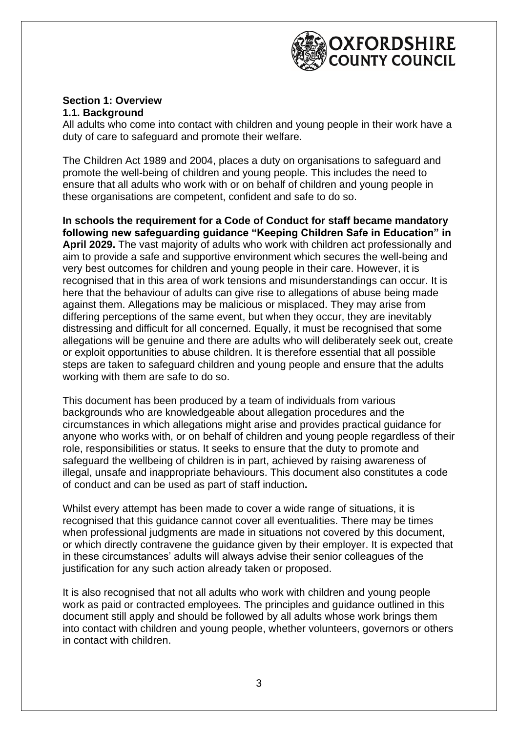

#### **Section 1: Overview 1.1. Background**

All adults who come into contact with children and young people in their work have a duty of care to safeguard and promote their welfare.

The Children Act 1989 and 2004, places a duty on organisations to safeguard and promote the well-being of children and young people. This includes the need to ensure that all adults who work with or on behalf of children and young people in these organisations are competent, confident and safe to do so.

**In schools the requirement for a Code of Conduct for staff became mandatory following new safeguarding guidance "Keeping Children Safe in Education" in April 2029.** The vast majority of adults who work with children act professionally and aim to provide a safe and supportive environment which secures the well-being and very best outcomes for children and young people in their care. However, it is recognised that in this area of work tensions and misunderstandings can occur. It is here that the behaviour of adults can give rise to allegations of abuse being made against them. Allegations may be malicious or misplaced. They may arise from differing perceptions of the same event, but when they occur, they are inevitably distressing and difficult for all concerned. Equally, it must be recognised that some allegations will be genuine and there are adults who will deliberately seek out, create or exploit opportunities to abuse children. It is therefore essential that all possible steps are taken to safeguard children and young people and ensure that the adults working with them are safe to do so.

This document has been produced by a team of individuals from various backgrounds who are knowledgeable about allegation procedures and the circumstances in which allegations might arise and provides practical guidance for anyone who works with, or on behalf of children and young people regardless of their role, responsibilities or status. It seeks to ensure that the duty to promote and safeguard the wellbeing of children is in part, achieved by raising awareness of illegal, unsafe and inappropriate behaviours. This document also constitutes a code of conduct and can be used as part of staff induction**.**

Whilst every attempt has been made to cover a wide range of situations, it is recognised that this guidance cannot cover all eventualities. There may be times when professional judgments are made in situations not covered by this document, or which directly contravene the guidance given by their employer. It is expected that in these circumstances' adults will always advise their senior colleagues of the justification for any such action already taken or proposed.

It is also recognised that not all adults who work with children and young people work as paid or contracted employees. The principles and guidance outlined in this document still apply and should be followed by all adults whose work brings them into contact with children and young people, whether volunteers, governors or others in contact with children.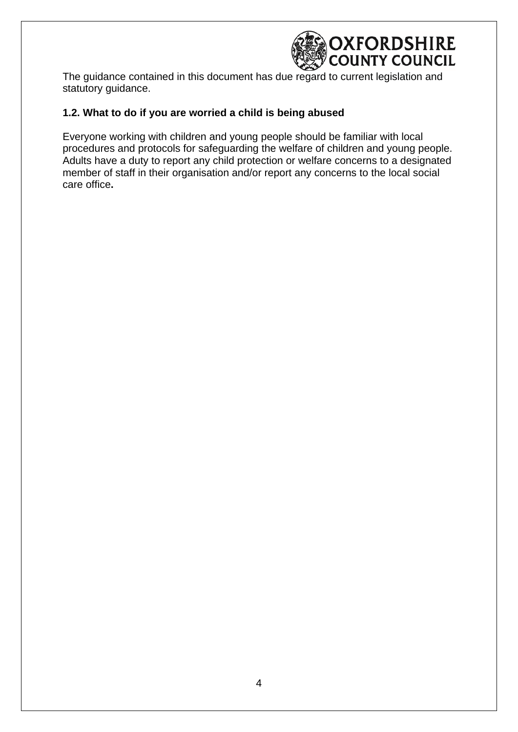

The guidance contained in this document has due regard to current legislation and statutory guidance.

#### **1.2. What to do if you are worried a child is being abused**

Everyone working with children and young people should be familiar with local procedures and protocols for safeguarding the welfare of children and young people. Adults have a duty to report any child protection or welfare concerns to a designated member of staff in their organisation and/or report any concerns to the local social care office**.**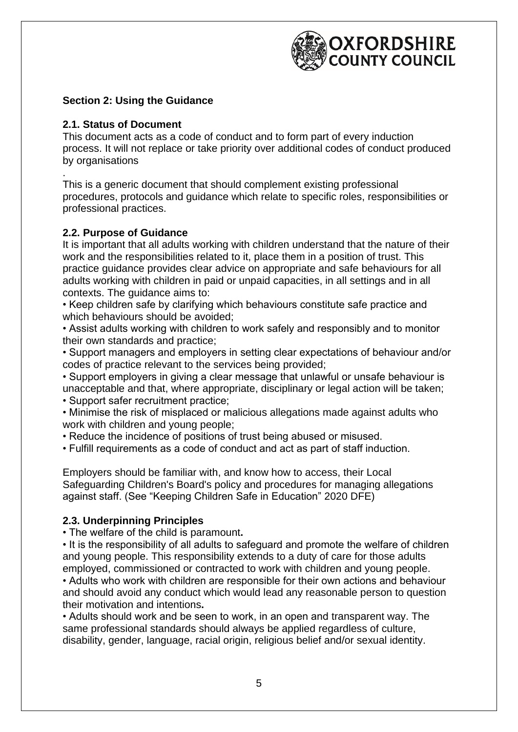

#### **Section 2: Using the Guidance**

#### **2.1. Status of Document**

This document acts as a code of conduct and to form part of every induction process. It will not replace or take priority over additional codes of conduct produced by organisations

. This is a generic document that should complement existing professional procedures, protocols and guidance which relate to specific roles, responsibilities or professional practices.

#### **2.2. Purpose of Guidance**

It is important that all adults working with children understand that the nature of their work and the responsibilities related to it, place them in a position of trust. This practice guidance provides clear advice on appropriate and safe behaviours for all adults working with children in paid or unpaid capacities, in all settings and in all contexts. The guidance aims to:

• Keep children safe by clarifying which behaviours constitute safe practice and which behaviours should be avoided;

• Assist adults working with children to work safely and responsibly and to monitor their own standards and practice;

• Support managers and employers in setting clear expectations of behaviour and/or codes of practice relevant to the services being provided;

• Support employers in giving a clear message that unlawful or unsafe behaviour is unacceptable and that, where appropriate, disciplinary or legal action will be taken;

• Support safer recruitment practice;

- Minimise the risk of misplaced or malicious allegations made against adults who work with children and young people:
- Reduce the incidence of positions of trust being abused or misused.
- Fulfill requirements as a code of conduct and act as part of staff induction.

Employers should be familiar with, and know how to access, their Local Safeguarding Children's Board's policy and procedures for managing allegations against staff. (See "Keeping Children Safe in Education" 2020 DFE)

#### **2.3. Underpinning Principles**

• The welfare of the child is paramount**.**

• It is the responsibility of all adults to safeguard and promote the welfare of children and young people. This responsibility extends to a duty of care for those adults employed, commissioned or contracted to work with children and young people.

• Adults who work with children are responsible for their own actions and behaviour and should avoid any conduct which would lead any reasonable person to question their motivation and intentions**.**

• Adults should work and be seen to work, in an open and transparent way. The same professional standards should always be applied regardless of culture, disability, gender, language, racial origin, religious belief and/or sexual identity.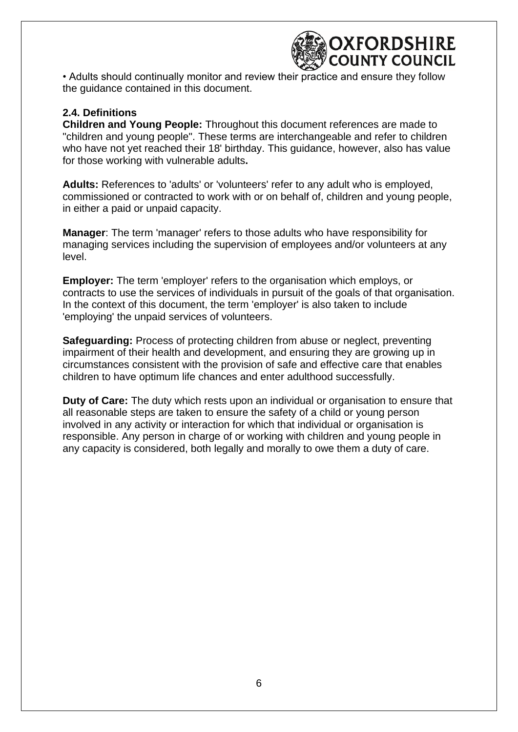

• Adults should continually monitor and review their practice and ensure they follow the guidance contained in this document.

#### **2.4. Definitions**

**Children and Young People:** Throughout this document references are made to "children and young people". These terms are interchangeable and refer to children who have not yet reached their 18' birthday. This guidance, however, also has value for those working with vulnerable adults**.**

**Adults:** References to 'adults' or 'volunteers' refer to any adult who is employed, commissioned or contracted to work with or on behalf of, children and young people, in either a paid or unpaid capacity.

**Manager**: The term 'manager' refers to those adults who have responsibility for managing services including the supervision of employees and/or volunteers at any level.

**Employer:** The term 'employer' refers to the organisation which employs, or contracts to use the services of individuals in pursuit of the goals of that organisation. In the context of this document, the term 'employer' is also taken to include 'employing' the unpaid services of volunteers.

**Safeguarding:** Process of protecting children from abuse or neglect, preventing impairment of their health and development, and ensuring they are growing up in circumstances consistent with the provision of safe and effective care that enables children to have optimum life chances and enter adulthood successfully.

**Duty of Care:** The duty which rests upon an individual or organisation to ensure that all reasonable steps are taken to ensure the safety of a child or young person involved in any activity or interaction for which that individual or organisation is responsible. Any person in charge of or working with children and young people in any capacity is considered, both legally and morally to owe them a duty of care.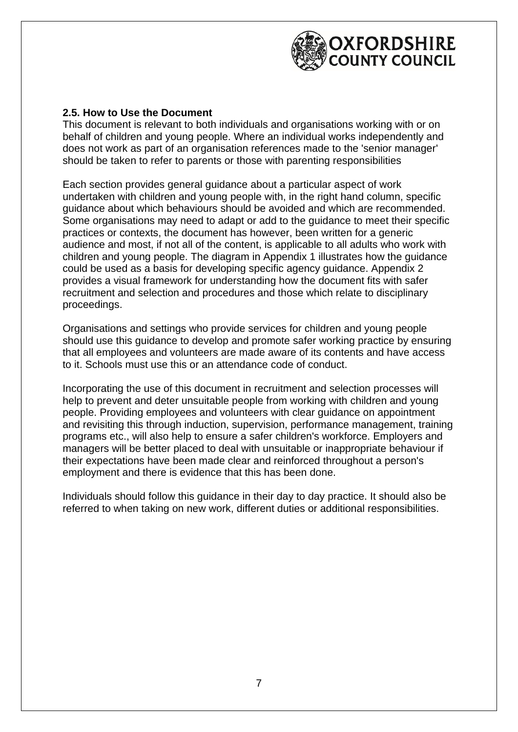

#### **2.5. How to Use the Document**

This document is relevant to both individuals and organisations working with or on behalf of children and young people. Where an individual works independently and does not work as part of an organisation references made to the 'senior manager' should be taken to refer to parents or those with parenting responsibilities

Each section provides general guidance about a particular aspect of work undertaken with children and young people with, in the right hand column, specific guidance about which behaviours should be avoided and which are recommended. Some organisations may need to adapt or add to the guidance to meet their specific practices or contexts, the document has however, been written for a generic audience and most, if not all of the content, is applicable to all adults who work with children and young people. The diagram in Appendix 1 illustrates how the guidance could be used as a basis for developing specific agency guidance. Appendix 2 provides a visual framework for understanding how the document fits with safer recruitment and selection and procedures and those which relate to disciplinary proceedings.

Organisations and settings who provide services for children and young people should use this guidance to develop and promote safer working practice by ensuring that all employees and volunteers are made aware of its contents and have access to it. Schools must use this or an attendance code of conduct.

Incorporating the use of this document in recruitment and selection processes will help to prevent and deter unsuitable people from working with children and young people. Providing employees and volunteers with clear guidance on appointment and revisiting this through induction, supervision, performance management, training programs etc., will also help to ensure a safer children's workforce. Employers and managers will be better placed to deal with unsuitable or inappropriate behaviour if their expectations have been made clear and reinforced throughout a person's employment and there is evidence that this has been done.

Individuals should follow this guidance in their day to day practice. It should also be referred to when taking on new work, different duties or additional responsibilities.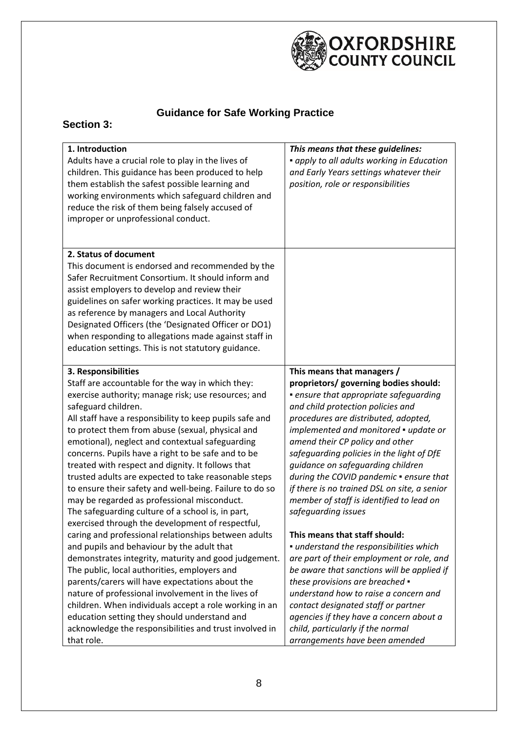

### **Guidance for Safe Working Practice**

#### **Section 3:**

| 1. Introduction<br>Adults have a crucial role to play in the lives of<br>children. This guidance has been produced to help<br>them establish the safest possible learning and<br>working environments which safeguard children and<br>reduce the risk of them being falsely accused of<br>improper or unprofessional conduct.                                                                                                                                                                                                                                                                                                                                                                                                                                                                                                                                                                                                                                                                                                                                                                                                                  | This means that these guidelines:<br>• apply to all adults working in Education<br>and Early Years settings whatever their<br>position, role or responsibilities                                                                                                                                                                                                                                                                                                                                                                                                                                                                                                                                                                                                                                                                                            |
|------------------------------------------------------------------------------------------------------------------------------------------------------------------------------------------------------------------------------------------------------------------------------------------------------------------------------------------------------------------------------------------------------------------------------------------------------------------------------------------------------------------------------------------------------------------------------------------------------------------------------------------------------------------------------------------------------------------------------------------------------------------------------------------------------------------------------------------------------------------------------------------------------------------------------------------------------------------------------------------------------------------------------------------------------------------------------------------------------------------------------------------------|-------------------------------------------------------------------------------------------------------------------------------------------------------------------------------------------------------------------------------------------------------------------------------------------------------------------------------------------------------------------------------------------------------------------------------------------------------------------------------------------------------------------------------------------------------------------------------------------------------------------------------------------------------------------------------------------------------------------------------------------------------------------------------------------------------------------------------------------------------------|
|                                                                                                                                                                                                                                                                                                                                                                                                                                                                                                                                                                                                                                                                                                                                                                                                                                                                                                                                                                                                                                                                                                                                                |                                                                                                                                                                                                                                                                                                                                                                                                                                                                                                                                                                                                                                                                                                                                                                                                                                                             |
| 2. Status of document<br>This document is endorsed and recommended by the<br>Safer Recruitment Consortium. It should inform and<br>assist employers to develop and review their<br>guidelines on safer working practices. It may be used<br>as reference by managers and Local Authority<br>Designated Officers (the 'Designated Officer or DO1)<br>when responding to allegations made against staff in<br>education settings. This is not statutory guidance.                                                                                                                                                                                                                                                                                                                                                                                                                                                                                                                                                                                                                                                                                |                                                                                                                                                                                                                                                                                                                                                                                                                                                                                                                                                                                                                                                                                                                                                                                                                                                             |
| 3. Responsibilities<br>Staff are accountable for the way in which they:<br>exercise authority; manage risk; use resources; and<br>safeguard children.<br>All staff have a responsibility to keep pupils safe and<br>to protect them from abuse (sexual, physical and<br>emotional), neglect and contextual safeguarding<br>concerns. Pupils have a right to be safe and to be<br>treated with respect and dignity. It follows that<br>trusted adults are expected to take reasonable steps<br>to ensure their safety and well-being. Failure to do so<br>may be regarded as professional misconduct.<br>The safeguarding culture of a school is, in part,<br>exercised through the development of respectful,<br>caring and professional relationships between adults<br>and pupils and behaviour by the adult that<br>demonstrates integrity, maturity and good judgement.<br>The public, local authorities, employers and<br>parents/carers will have expectations about the<br>nature of professional involvement in the lives of<br>children. When individuals accept a role working in an<br>education setting they should understand and | This means that managers /<br>proprietors/ governing bodies should:<br>· ensure that appropriate safeguarding<br>and child protection policies and<br>procedures are distributed, adopted,<br>implemented and monitored • update or<br>amend their CP policy and other<br>safeguarding policies in the light of DfE<br>guidance on safeguarding children<br>during the COVID pandemic . ensure that<br>if there is no trained DSL on site, a senior<br>member of staff is identified to lead on<br>safeguarding issues<br>This means that staff should:<br>· understand the responsibilities which<br>are part of their employment or role, and<br>be aware that sanctions will be applied if<br>these provisions are breached .<br>understand how to raise a concern and<br>contact designated staff or partner<br>agencies if they have a concern about a |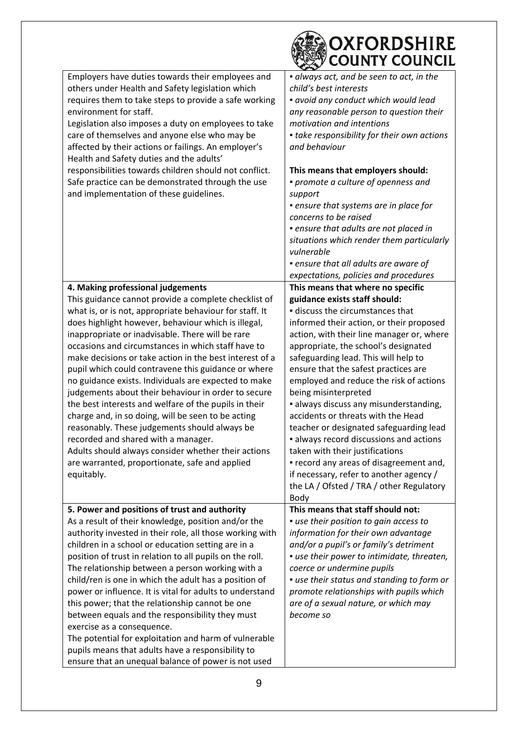|                                                                                                                                                                                                                                                                                                                                                                                                                                                                                                                                                                                                                                                                                                                                                                                                                                                 | OXFORDSHIRE<br><b>COUNTY COUNCIL</b>                                                                                                                                                                                                                                                                                                                                                                                                                                                                                                                                                                                                                                                                   |
|-------------------------------------------------------------------------------------------------------------------------------------------------------------------------------------------------------------------------------------------------------------------------------------------------------------------------------------------------------------------------------------------------------------------------------------------------------------------------------------------------------------------------------------------------------------------------------------------------------------------------------------------------------------------------------------------------------------------------------------------------------------------------------------------------------------------------------------------------|--------------------------------------------------------------------------------------------------------------------------------------------------------------------------------------------------------------------------------------------------------------------------------------------------------------------------------------------------------------------------------------------------------------------------------------------------------------------------------------------------------------------------------------------------------------------------------------------------------------------------------------------------------------------------------------------------------|
| Employers have duties towards their employees and<br>others under Health and Safety legislation which<br>requires them to take steps to provide a safe working<br>environment for staff.<br>Legislation also imposes a duty on employees to take<br>care of themselves and anyone else who may be<br>affected by their actions or failings. An employer's<br>Health and Safety duties and the adults'                                                                                                                                                                                                                                                                                                                                                                                                                                           | · always act, and be seen to act, in the<br>child's best interests<br>· avoid any conduct which would lead<br>any reasonable person to question their<br>motivation and intentions<br>• take responsibility for their own actions<br>and behaviour                                                                                                                                                                                                                                                                                                                                                                                                                                                     |
| responsibilities towards children should not conflict.<br>Safe practice can be demonstrated through the use<br>and implementation of these guidelines.                                                                                                                                                                                                                                                                                                                                                                                                                                                                                                                                                                                                                                                                                          | This means that employers should:<br>• promote a culture of openness and<br>support<br>• ensure that systems are in place for<br>concerns to be raised<br>· ensure that adults are not placed in<br>situations which render them particularly<br>vulnerable<br>• ensure that all adults are aware of<br>expectations, policies and procedures                                                                                                                                                                                                                                                                                                                                                          |
| 4. Making professional judgements                                                                                                                                                                                                                                                                                                                                                                                                                                                                                                                                                                                                                                                                                                                                                                                                               | This means that where no specific                                                                                                                                                                                                                                                                                                                                                                                                                                                                                                                                                                                                                                                                      |
| This guidance cannot provide a complete checklist of<br>what is, or is not, appropriate behaviour for staff. It<br>does highlight however, behaviour which is illegal,<br>inappropriate or inadvisable. There will be rare<br>occasions and circumstances in which staff have to<br>make decisions or take action in the best interest of a<br>pupil which could contravene this guidance or where<br>no guidance exists. Individuals are expected to make<br>judgements about their behaviour in order to secure<br>the best interests and welfare of the pupils in their<br>charge and, in so doing, will be seen to be acting<br>reasonably. These judgements should always be<br>recorded and shared with a manager.<br>Adults should always consider whether their actions<br>are warranted, proportionate, safe and applied<br>equitably. | guidance exists staff should:<br>discuss the circumstances that<br>informed their action, or their proposed<br>action, with their line manager or, where<br>appropriate, the school's designated<br>safeguarding lead. This will help to<br>ensure that the safest practices are<br>employed and reduce the risk of actions<br>being misinterpreted<br>· always discuss any misunderstanding,<br>accidents or threats with the Head<br>teacher or designated safeguarding lead<br>· always record discussions and actions<br>taken with their justifications<br>• record any areas of disagreement and,<br>if necessary, refer to another agency /<br>the LA / Ofsted / TRA / other Regulatory<br>Body |
| 5. Power and positions of trust and authority<br>As a result of their knowledge, position and/or the<br>authority invested in their role, all those working with<br>children in a school or education setting are in a<br>position of trust in relation to all pupils on the roll.<br>The relationship between a person working with a<br>child/ren is one in which the adult has a position of<br>power or influence. It is vital for adults to understand<br>this power; that the relationship cannot be one<br>between equals and the responsibility they must<br>exercise as a consequence.<br>The potential for exploitation and harm of vulnerable<br>pupils means that adults have a responsibility to<br>ensure that an unequal balance of power is not used                                                                            | This means that staff should not:<br>• use their position to gain access to<br>information for their own advantage<br>and/or a pupil's or family's detriment<br>• use their power to intimidate, threaten,<br>coerce or undermine pupils<br>· use their status and standing to form or<br>promote relationships with pupils which<br>are of a sexual nature, or which may<br>become so                                                                                                                                                                                                                                                                                                                 |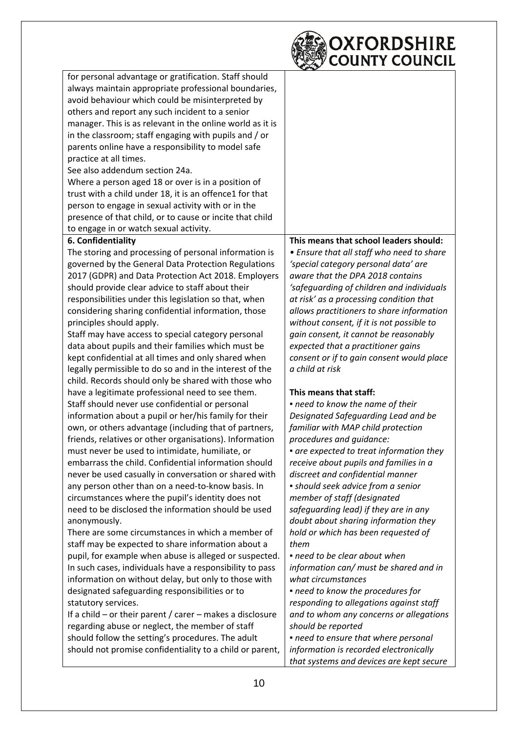

| for personal advantage or gratification. Staff should         |                                           |
|---------------------------------------------------------------|-------------------------------------------|
| always maintain appropriate professional boundaries,          |                                           |
| avoid behaviour which could be misinterpreted by              |                                           |
| others and report any such incident to a senior               |                                           |
| manager. This is as relevant in the online world as it is     |                                           |
| in the classroom; staff engaging with pupils and / or         |                                           |
| parents online have a responsibility to model safe            |                                           |
| practice at all times.                                        |                                           |
| See also addendum section 24a.                                |                                           |
| Where a person aged 18 or over is in a position of            |                                           |
| trust with a child under 18, it is an offence1 for that       |                                           |
| person to engage in sexual activity with or in the            |                                           |
| presence of that child, or to cause or incite that child      |                                           |
| to engage in or watch sexual activity.                        |                                           |
| 6. Confidentiality                                            | This means that school leaders should:    |
| The storing and processing of personal information is         | • Ensure that all staff who need to share |
| governed by the General Data Protection Regulations           | 'special category personal data' are      |
| 2017 (GDPR) and Data Protection Act 2018. Employers           | aware that the DPA 2018 contains          |
| should provide clear advice to staff about their              | 'safequarding of children and individuals |
| responsibilities under this legislation so that, when         | at risk' as a processing condition that   |
| considering sharing confidential information, those           | allows practitioners to share information |
| principles should apply.                                      | without consent, if it is not possible to |
| Staff may have access to special category personal            | gain consent, it cannot be reasonably     |
| data about pupils and their families which must be            | expected that a practitioner gains        |
| kept confidential at all times and only shared when           | consent or if to gain consent would place |
| legally permissible to do so and in the interest of the       | a child at risk                           |
| child. Records should only be shared with those who           |                                           |
| have a legitimate professional need to see them.              | This means that staff:                    |
| Staff should never use confidential or personal               | . need to know the name of their          |
| information about a pupil or her/his family for their         | Designated Safeguarding Lead and be       |
| own, or others advantage (including that of partners,         | familiar with MAP child protection        |
| friends, relatives or other organisations). Information       | procedures and guidance:                  |
| must never be used to intimidate, humiliate, or               | • are expected to treat information they  |
| embarrass the child. Confidential information should          | receive about pupils and families in a    |
| never be used casually in conversation or shared with         | discreet and confidential manner          |
| any person other than on a need-to-know basis. In             | • should seek advice from a senior        |
| circumstances where the pupil's identity does not             | member of staff (designated               |
| need to be disclosed the information should be used           | safeguarding lead) if they are in any     |
| anonymously.                                                  | doubt about sharing information they      |
| There are some circumstances in which a member of             | hold or which has been requested of       |
| staff may be expected to share information about a            | them                                      |
| pupil, for example when abuse is alleged or suspected.        | • need to be clear about when             |
| In such cases, individuals have a responsibility to pass      | information can/ must be shared and in    |
| information on without delay, but only to those with          | what circumstances                        |
| designated safeguarding responsibilities or to                | • need to know the procedures for         |
| statutory services.                                           | responding to allegations against staff   |
| If a child $-$ or their parent / carer $-$ makes a disclosure | and to whom any concerns or allegations   |
| regarding abuse or neglect, the member of staff               | should be reported                        |
| should follow the setting's procedures. The adult             | · need to ensure that where personal      |
| should not promise confidentiality to a child or parent,      | information is recorded electronically    |
|                                                               | that systems and devices are kept secure  |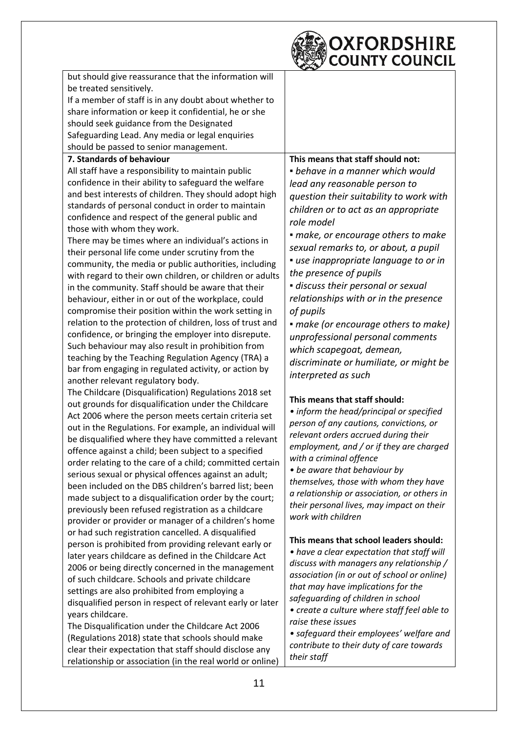

| but should give reassurance that the information will                                                             |                                                                |
|-------------------------------------------------------------------------------------------------------------------|----------------------------------------------------------------|
| be treated sensitively.                                                                                           |                                                                |
| If a member of staff is in any doubt about whether to                                                             |                                                                |
| share information or keep it confidential, he or she                                                              |                                                                |
| should seek guidance from the Designated                                                                          |                                                                |
| Safeguarding Lead. Any media or legal enquiries                                                                   |                                                                |
| should be passed to senior management.                                                                            |                                                                |
| 7. Standards of behaviour                                                                                         | This means that staff should not:                              |
| All staff have a responsibility to maintain public                                                                | • behave in a manner which would                               |
| confidence in their ability to safeguard the welfare                                                              | lead any reasonable person to                                  |
| and best interests of children. They should adopt high                                                            | question their suitability to work with                        |
| standards of personal conduct in order to maintain                                                                | children or to act as an appropriate                           |
| confidence and respect of the general public and                                                                  | role model                                                     |
| those with whom they work.                                                                                        |                                                                |
| There may be times where an individual's actions in                                                               | · make, or encourage others to make                            |
| their personal life come under scrutiny from the                                                                  | sexual remarks to, or about, a pupil                           |
| community, the media or public authorities, including                                                             | • use inappropriate language to or in                          |
| with regard to their own children, or children or adults                                                          | the presence of pupils                                         |
| in the community. Staff should be aware that their                                                                | · discuss their personal or sexual                             |
| behaviour, either in or out of the workplace, could                                                               | relationships with or in the presence                          |
| compromise their position within the work setting in                                                              | of pupils                                                      |
| relation to the protection of children, loss of trust and                                                         | • make (or encourage others to make)                           |
| confidence, or bringing the employer into disrepute.                                                              | unprofessional personal comments                               |
| Such behaviour may also result in prohibition from                                                                | which scapegoat, demean,                                       |
| teaching by the Teaching Regulation Agency (TRA) a                                                                | discriminate or humiliate, or might be                         |
| bar from engaging in regulated activity, or action by                                                             | interpreted as such                                            |
| another relevant regulatory body.                                                                                 |                                                                |
| The Childcare (Disqualification) Regulations 2018 set                                                             | This means that staff should:                                  |
| out grounds for disqualification under the Childcare                                                              | • inform the head/principal or specified                       |
| Act 2006 where the person meets certain criteria set                                                              | person of any cautions, convictions, or                        |
| out in the Regulations. For example, an individual will                                                           | relevant orders accrued during their                           |
| be disqualified where they have committed a relevant                                                              | employment, and / or if they are charged                       |
| offence against a child; been subject to a specified                                                              | with a criminal offence                                        |
| order relating to the care of a child; committed certain<br>serious sexual or physical offences against an adult; | • be aware that behaviour by                                   |
| been included on the DBS children's barred list; been                                                             | themselves, those with whom they have                          |
| made subject to a disqualification order by the court;                                                            | a relationship or association, or others in                    |
| previously been refused registration as a childcare                                                               | their personal lives, may impact on their                      |
| provider or provider or manager of a children's home                                                              | work with children                                             |
| or had such registration cancelled. A disqualified                                                                |                                                                |
| person is prohibited from providing relevant early or                                                             | This means that school leaders should:                         |
| later years childcare as defined in the Childcare Act                                                             | • have a clear expectation that staff will                     |
| 2006 or being directly concerned in the management                                                                | discuss with managers any relationship /                       |
| of such childcare. Schools and private childcare                                                                  | association (in or out of school or online)                    |
| settings are also prohibited from employing a                                                                     | that may have implications for the                             |
| disqualified person in respect of relevant early or later                                                         | safeguarding of children in school                             |
| years childcare.                                                                                                  | • create a culture where staff feel able to                    |
| The Disqualification under the Childcare Act 2006                                                                 | raise these issues<br>· safeguard their employees' welfare and |
| (Regulations 2018) state that schools should make                                                                 |                                                                |
|                                                                                                                   |                                                                |
| clear their expectation that staff should disclose any                                                            | contribute to their duty of care towards<br>their staff        |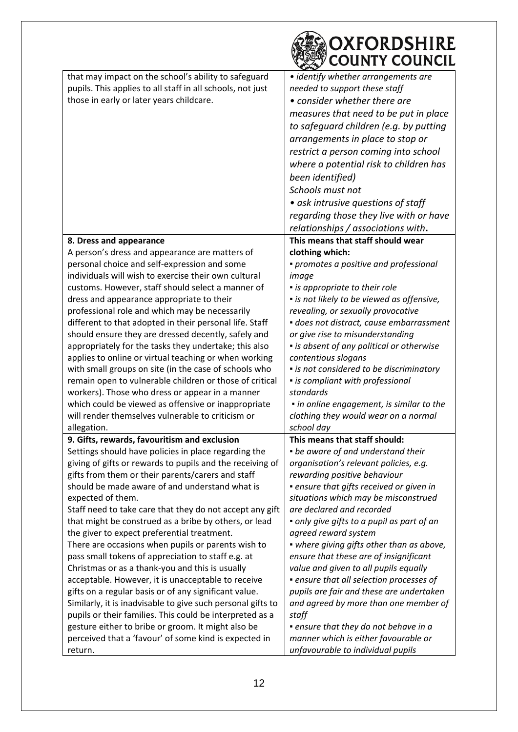|                                                             | OXFORDSHIRE<br><b>COUNTY COUNCIL</b>        |
|-------------------------------------------------------------|---------------------------------------------|
| that may impact on the school's ability to safeguard        | • identify whether arrangements are         |
| pupils. This applies to all staff in all schools, not just  | needed to support these staff               |
| those in early or later years childcare.                    | • consider whether there are                |
|                                                             |                                             |
|                                                             | measures that need to be put in place       |
|                                                             | to safeguard children (e.g. by putting      |
|                                                             | arrangements in place to stop or            |
|                                                             | restrict a person coming into school        |
|                                                             | where a potential risk to children has      |
|                                                             | been identified)                            |
|                                                             | Schools must not                            |
|                                                             | • ask intrusive questions of staff          |
|                                                             | regarding those they live with or have      |
|                                                             | relationships / associations with.          |
| 8. Dress and appearance                                     | This means that staff should wear           |
| A person's dress and appearance are matters of              | clothing which:                             |
| personal choice and self-expression and some                | • promotes a positive and professional      |
| individuals will wish to exercise their own cultural        | image                                       |
| customs. However, staff should select a manner of           | • is appropriate to their role              |
| dress and appearance appropriate to their                   | • is not likely to be viewed as offensive,  |
| professional role and which may be necessarily              | revealing, or sexually provocative          |
| different to that adopted in their personal life. Staff     | · does not distract, cause embarrassment    |
| should ensure they are dressed decently, safely and         | or give rise to misunderstanding            |
| appropriately for the tasks they undertake; this also       | • is absent of any political or otherwise   |
| applies to online or virtual teaching or when working       | contentious slogans                         |
| with small groups on site (in the case of schools who       | • is not considered to be discriminatory    |
| remain open to vulnerable children or those of critical     | • is compliant with professional            |
| workers). Those who dress or appear in a manner             | standards                                   |
| which could be viewed as offensive or inappropriate         | · in online engagement, is similar to the   |
| will render themselves vulnerable to criticism or           | clothing they would wear on a normal        |
| allegation.<br>9. Gifts, rewards, favouritism and exclusion | school day<br>This means that staff should: |
| Settings should have policies in place regarding the        | • be aware of and understand their          |
| giving of gifts or rewards to pupils and the receiving of   | organisation's relevant policies, e.g.      |
| gifts from them or their parents/carers and staff           | rewarding positive behaviour                |
| should be made aware of and understand what is              | · ensure that gifts received or given in    |
| expected of them.                                           | situations which may be misconstrued        |
| Staff need to take care that they do not accept any gift    | are declared and recorded                   |
| that might be construed as a bribe by others, or lead       | • only give gifts to a pupil as part of an  |
| the giver to expect preferential treatment.                 | agreed reward system                        |
| There are occasions when pupils or parents wish to          | • where giving gifts other than as above,   |
| pass small tokens of appreciation to staff e.g. at          | ensure that these are of insignificant      |
| Christmas or as a thank-you and this is usually             | value and given to all pupils equally       |
| acceptable. However, it is unacceptable to receive          | • ensure that all selection processes of    |
| gifts on a regular basis or of any significant value.       | pupils are fair and these are undertaken    |
| Similarly, it is inadvisable to give such personal gifts to | and agreed by more than one member of       |
| pupils or their families. This could be interpreted as a    | staff                                       |
| gesture either to bribe or groom. It might also be          | • ensure that they do not behave in a       |
| perceived that a 'favour' of some kind is expected in       | manner which is either favourable or        |
| return.                                                     | unfavourable to individual pupils           |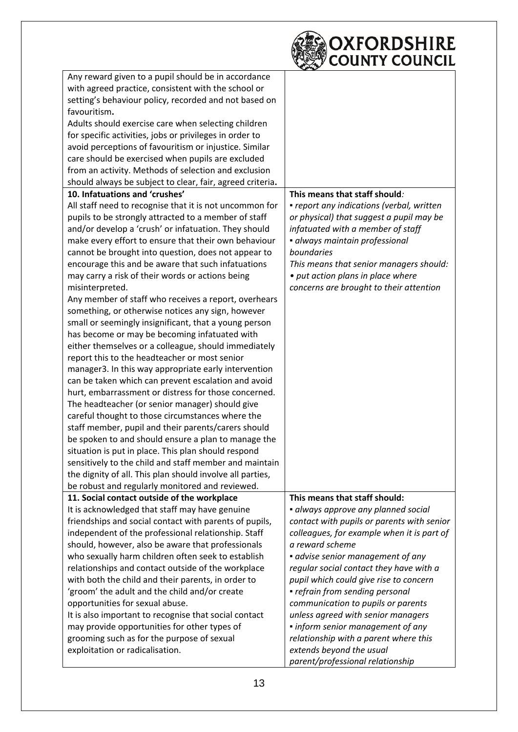| Any reward given to a pupil should be in accordance<br>with agreed practice, consistent with the school or<br>setting's behaviour policy, recorded and not based on<br>favouritism.<br>Adults should exercise care when selecting children<br>for specific activities, jobs or privileges in order to<br>avoid perceptions of favouritism or injustice. Similar<br>care should be exercised when pupils are excluded<br>from an activity. Methods of selection and exclusion<br>should always be subject to clear, fair, agreed criteria.<br>10. Infatuations and 'crushes'<br>This means that staff should:<br>All staff need to recognise that it is not uncommon for<br>· report any indications (verbal, written<br>pupils to be strongly attracted to a member of staff<br>or physical) that suggest a pupil may be<br>and/or develop a 'crush' or infatuation. They should<br>infatuated with a member of staff<br>make every effort to ensure that their own behaviour<br>· always maintain professional<br>boundaries<br>cannot be brought into question, does not appear to<br>encourage this and be aware that such infatuations<br>This means that senior managers should:<br>may carry a risk of their words or actions being<br>• put action plans in place where<br>misinterpreted.<br>concerns are brought to their attention<br>Any member of staff who receives a report, overhears<br>something, or otherwise notices any sign, however<br>small or seemingly insignificant, that a young person<br>has become or may be becoming infatuated with<br>either themselves or a colleague, should immediately<br>report this to the headteacher or most senior<br>manager3. In this way appropriate early intervention<br>can be taken which can prevent escalation and avoid<br>hurt, embarrassment or distress for those concerned.<br>The headteacher (or senior manager) should give<br>careful thought to those circumstances where the<br>staff member, pupil and their parents/carers should<br>be spoken to and should ensure a plan to manage the<br>situation is put in place. This plan should respond<br>sensitively to the child and staff member and maintain<br>the dignity of all. This plan should involve all parties,<br>be robust and regularly monitored and reviewed.<br>This means that staff should:<br>11. Social contact outside of the workplace<br>It is acknowledged that staff may have genuine<br>· always approve any planned social<br>friendships and social contact with parents of pupils,<br>contact with pupils or parents with senior |
|--------------------------------------------------------------------------------------------------------------------------------------------------------------------------------------------------------------------------------------------------------------------------------------------------------------------------------------------------------------------------------------------------------------------------------------------------------------------------------------------------------------------------------------------------------------------------------------------------------------------------------------------------------------------------------------------------------------------------------------------------------------------------------------------------------------------------------------------------------------------------------------------------------------------------------------------------------------------------------------------------------------------------------------------------------------------------------------------------------------------------------------------------------------------------------------------------------------------------------------------------------------------------------------------------------------------------------------------------------------------------------------------------------------------------------------------------------------------------------------------------------------------------------------------------------------------------------------------------------------------------------------------------------------------------------------------------------------------------------------------------------------------------------------------------------------------------------------------------------------------------------------------------------------------------------------------------------------------------------------------------------------------------------------------------------------------------------------------------------------------------------------------------------------------------------------------------------------------------------------------------------------------------------------------------------------------------------------------------------------------------------------------------------------------------------------------------------------------------------------------------------------------------------------------------------------------------------------------|
|                                                                                                                                                                                                                                                                                                                                                                                                                                                                                                                                                                                                                                                                                                                                                                                                                                                                                                                                                                                                                                                                                                                                                                                                                                                                                                                                                                                                                                                                                                                                                                                                                                                                                                                                                                                                                                                                                                                                                                                                                                                                                                                                                                                                                                                                                                                                                                                                                                                                                                                                                                                            |
|                                                                                                                                                                                                                                                                                                                                                                                                                                                                                                                                                                                                                                                                                                                                                                                                                                                                                                                                                                                                                                                                                                                                                                                                                                                                                                                                                                                                                                                                                                                                                                                                                                                                                                                                                                                                                                                                                                                                                                                                                                                                                                                                                                                                                                                                                                                                                                                                                                                                                                                                                                                            |
|                                                                                                                                                                                                                                                                                                                                                                                                                                                                                                                                                                                                                                                                                                                                                                                                                                                                                                                                                                                                                                                                                                                                                                                                                                                                                                                                                                                                                                                                                                                                                                                                                                                                                                                                                                                                                                                                                                                                                                                                                                                                                                                                                                                                                                                                                                                                                                                                                                                                                                                                                                                            |
|                                                                                                                                                                                                                                                                                                                                                                                                                                                                                                                                                                                                                                                                                                                                                                                                                                                                                                                                                                                                                                                                                                                                                                                                                                                                                                                                                                                                                                                                                                                                                                                                                                                                                                                                                                                                                                                                                                                                                                                                                                                                                                                                                                                                                                                                                                                                                                                                                                                                                                                                                                                            |
|                                                                                                                                                                                                                                                                                                                                                                                                                                                                                                                                                                                                                                                                                                                                                                                                                                                                                                                                                                                                                                                                                                                                                                                                                                                                                                                                                                                                                                                                                                                                                                                                                                                                                                                                                                                                                                                                                                                                                                                                                                                                                                                                                                                                                                                                                                                                                                                                                                                                                                                                                                                            |
|                                                                                                                                                                                                                                                                                                                                                                                                                                                                                                                                                                                                                                                                                                                                                                                                                                                                                                                                                                                                                                                                                                                                                                                                                                                                                                                                                                                                                                                                                                                                                                                                                                                                                                                                                                                                                                                                                                                                                                                                                                                                                                                                                                                                                                                                                                                                                                                                                                                                                                                                                                                            |
|                                                                                                                                                                                                                                                                                                                                                                                                                                                                                                                                                                                                                                                                                                                                                                                                                                                                                                                                                                                                                                                                                                                                                                                                                                                                                                                                                                                                                                                                                                                                                                                                                                                                                                                                                                                                                                                                                                                                                                                                                                                                                                                                                                                                                                                                                                                                                                                                                                                                                                                                                                                            |
|                                                                                                                                                                                                                                                                                                                                                                                                                                                                                                                                                                                                                                                                                                                                                                                                                                                                                                                                                                                                                                                                                                                                                                                                                                                                                                                                                                                                                                                                                                                                                                                                                                                                                                                                                                                                                                                                                                                                                                                                                                                                                                                                                                                                                                                                                                                                                                                                                                                                                                                                                                                            |
|                                                                                                                                                                                                                                                                                                                                                                                                                                                                                                                                                                                                                                                                                                                                                                                                                                                                                                                                                                                                                                                                                                                                                                                                                                                                                                                                                                                                                                                                                                                                                                                                                                                                                                                                                                                                                                                                                                                                                                                                                                                                                                                                                                                                                                                                                                                                                                                                                                                                                                                                                                                            |
|                                                                                                                                                                                                                                                                                                                                                                                                                                                                                                                                                                                                                                                                                                                                                                                                                                                                                                                                                                                                                                                                                                                                                                                                                                                                                                                                                                                                                                                                                                                                                                                                                                                                                                                                                                                                                                                                                                                                                                                                                                                                                                                                                                                                                                                                                                                                                                                                                                                                                                                                                                                            |
|                                                                                                                                                                                                                                                                                                                                                                                                                                                                                                                                                                                                                                                                                                                                                                                                                                                                                                                                                                                                                                                                                                                                                                                                                                                                                                                                                                                                                                                                                                                                                                                                                                                                                                                                                                                                                                                                                                                                                                                                                                                                                                                                                                                                                                                                                                                                                                                                                                                                                                                                                                                            |
|                                                                                                                                                                                                                                                                                                                                                                                                                                                                                                                                                                                                                                                                                                                                                                                                                                                                                                                                                                                                                                                                                                                                                                                                                                                                                                                                                                                                                                                                                                                                                                                                                                                                                                                                                                                                                                                                                                                                                                                                                                                                                                                                                                                                                                                                                                                                                                                                                                                                                                                                                                                            |
|                                                                                                                                                                                                                                                                                                                                                                                                                                                                                                                                                                                                                                                                                                                                                                                                                                                                                                                                                                                                                                                                                                                                                                                                                                                                                                                                                                                                                                                                                                                                                                                                                                                                                                                                                                                                                                                                                                                                                                                                                                                                                                                                                                                                                                                                                                                                                                                                                                                                                                                                                                                            |
|                                                                                                                                                                                                                                                                                                                                                                                                                                                                                                                                                                                                                                                                                                                                                                                                                                                                                                                                                                                                                                                                                                                                                                                                                                                                                                                                                                                                                                                                                                                                                                                                                                                                                                                                                                                                                                                                                                                                                                                                                                                                                                                                                                                                                                                                                                                                                                                                                                                                                                                                                                                            |
|                                                                                                                                                                                                                                                                                                                                                                                                                                                                                                                                                                                                                                                                                                                                                                                                                                                                                                                                                                                                                                                                                                                                                                                                                                                                                                                                                                                                                                                                                                                                                                                                                                                                                                                                                                                                                                                                                                                                                                                                                                                                                                                                                                                                                                                                                                                                                                                                                                                                                                                                                                                            |
|                                                                                                                                                                                                                                                                                                                                                                                                                                                                                                                                                                                                                                                                                                                                                                                                                                                                                                                                                                                                                                                                                                                                                                                                                                                                                                                                                                                                                                                                                                                                                                                                                                                                                                                                                                                                                                                                                                                                                                                                                                                                                                                                                                                                                                                                                                                                                                                                                                                                                                                                                                                            |
|                                                                                                                                                                                                                                                                                                                                                                                                                                                                                                                                                                                                                                                                                                                                                                                                                                                                                                                                                                                                                                                                                                                                                                                                                                                                                                                                                                                                                                                                                                                                                                                                                                                                                                                                                                                                                                                                                                                                                                                                                                                                                                                                                                                                                                                                                                                                                                                                                                                                                                                                                                                            |
|                                                                                                                                                                                                                                                                                                                                                                                                                                                                                                                                                                                                                                                                                                                                                                                                                                                                                                                                                                                                                                                                                                                                                                                                                                                                                                                                                                                                                                                                                                                                                                                                                                                                                                                                                                                                                                                                                                                                                                                                                                                                                                                                                                                                                                                                                                                                                                                                                                                                                                                                                                                            |
|                                                                                                                                                                                                                                                                                                                                                                                                                                                                                                                                                                                                                                                                                                                                                                                                                                                                                                                                                                                                                                                                                                                                                                                                                                                                                                                                                                                                                                                                                                                                                                                                                                                                                                                                                                                                                                                                                                                                                                                                                                                                                                                                                                                                                                                                                                                                                                                                                                                                                                                                                                                            |
|                                                                                                                                                                                                                                                                                                                                                                                                                                                                                                                                                                                                                                                                                                                                                                                                                                                                                                                                                                                                                                                                                                                                                                                                                                                                                                                                                                                                                                                                                                                                                                                                                                                                                                                                                                                                                                                                                                                                                                                                                                                                                                                                                                                                                                                                                                                                                                                                                                                                                                                                                                                            |
|                                                                                                                                                                                                                                                                                                                                                                                                                                                                                                                                                                                                                                                                                                                                                                                                                                                                                                                                                                                                                                                                                                                                                                                                                                                                                                                                                                                                                                                                                                                                                                                                                                                                                                                                                                                                                                                                                                                                                                                                                                                                                                                                                                                                                                                                                                                                                                                                                                                                                                                                                                                            |
|                                                                                                                                                                                                                                                                                                                                                                                                                                                                                                                                                                                                                                                                                                                                                                                                                                                                                                                                                                                                                                                                                                                                                                                                                                                                                                                                                                                                                                                                                                                                                                                                                                                                                                                                                                                                                                                                                                                                                                                                                                                                                                                                                                                                                                                                                                                                                                                                                                                                                                                                                                                            |
|                                                                                                                                                                                                                                                                                                                                                                                                                                                                                                                                                                                                                                                                                                                                                                                                                                                                                                                                                                                                                                                                                                                                                                                                                                                                                                                                                                                                                                                                                                                                                                                                                                                                                                                                                                                                                                                                                                                                                                                                                                                                                                                                                                                                                                                                                                                                                                                                                                                                                                                                                                                            |
|                                                                                                                                                                                                                                                                                                                                                                                                                                                                                                                                                                                                                                                                                                                                                                                                                                                                                                                                                                                                                                                                                                                                                                                                                                                                                                                                                                                                                                                                                                                                                                                                                                                                                                                                                                                                                                                                                                                                                                                                                                                                                                                                                                                                                                                                                                                                                                                                                                                                                                                                                                                            |
|                                                                                                                                                                                                                                                                                                                                                                                                                                                                                                                                                                                                                                                                                                                                                                                                                                                                                                                                                                                                                                                                                                                                                                                                                                                                                                                                                                                                                                                                                                                                                                                                                                                                                                                                                                                                                                                                                                                                                                                                                                                                                                                                                                                                                                                                                                                                                                                                                                                                                                                                                                                            |
|                                                                                                                                                                                                                                                                                                                                                                                                                                                                                                                                                                                                                                                                                                                                                                                                                                                                                                                                                                                                                                                                                                                                                                                                                                                                                                                                                                                                                                                                                                                                                                                                                                                                                                                                                                                                                                                                                                                                                                                                                                                                                                                                                                                                                                                                                                                                                                                                                                                                                                                                                                                            |
|                                                                                                                                                                                                                                                                                                                                                                                                                                                                                                                                                                                                                                                                                                                                                                                                                                                                                                                                                                                                                                                                                                                                                                                                                                                                                                                                                                                                                                                                                                                                                                                                                                                                                                                                                                                                                                                                                                                                                                                                                                                                                                                                                                                                                                                                                                                                                                                                                                                                                                                                                                                            |
|                                                                                                                                                                                                                                                                                                                                                                                                                                                                                                                                                                                                                                                                                                                                                                                                                                                                                                                                                                                                                                                                                                                                                                                                                                                                                                                                                                                                                                                                                                                                                                                                                                                                                                                                                                                                                                                                                                                                                                                                                                                                                                                                                                                                                                                                                                                                                                                                                                                                                                                                                                                            |
|                                                                                                                                                                                                                                                                                                                                                                                                                                                                                                                                                                                                                                                                                                                                                                                                                                                                                                                                                                                                                                                                                                                                                                                                                                                                                                                                                                                                                                                                                                                                                                                                                                                                                                                                                                                                                                                                                                                                                                                                                                                                                                                                                                                                                                                                                                                                                                                                                                                                                                                                                                                            |
|                                                                                                                                                                                                                                                                                                                                                                                                                                                                                                                                                                                                                                                                                                                                                                                                                                                                                                                                                                                                                                                                                                                                                                                                                                                                                                                                                                                                                                                                                                                                                                                                                                                                                                                                                                                                                                                                                                                                                                                                                                                                                                                                                                                                                                                                                                                                                                                                                                                                                                                                                                                            |
|                                                                                                                                                                                                                                                                                                                                                                                                                                                                                                                                                                                                                                                                                                                                                                                                                                                                                                                                                                                                                                                                                                                                                                                                                                                                                                                                                                                                                                                                                                                                                                                                                                                                                                                                                                                                                                                                                                                                                                                                                                                                                                                                                                                                                                                                                                                                                                                                                                                                                                                                                                                            |
|                                                                                                                                                                                                                                                                                                                                                                                                                                                                                                                                                                                                                                                                                                                                                                                                                                                                                                                                                                                                                                                                                                                                                                                                                                                                                                                                                                                                                                                                                                                                                                                                                                                                                                                                                                                                                                                                                                                                                                                                                                                                                                                                                                                                                                                                                                                                                                                                                                                                                                                                                                                            |
|                                                                                                                                                                                                                                                                                                                                                                                                                                                                                                                                                                                                                                                                                                                                                                                                                                                                                                                                                                                                                                                                                                                                                                                                                                                                                                                                                                                                                                                                                                                                                                                                                                                                                                                                                                                                                                                                                                                                                                                                                                                                                                                                                                                                                                                                                                                                                                                                                                                                                                                                                                                            |
|                                                                                                                                                                                                                                                                                                                                                                                                                                                                                                                                                                                                                                                                                                                                                                                                                                                                                                                                                                                                                                                                                                                                                                                                                                                                                                                                                                                                                                                                                                                                                                                                                                                                                                                                                                                                                                                                                                                                                                                                                                                                                                                                                                                                                                                                                                                                                                                                                                                                                                                                                                                            |
|                                                                                                                                                                                                                                                                                                                                                                                                                                                                                                                                                                                                                                                                                                                                                                                                                                                                                                                                                                                                                                                                                                                                                                                                                                                                                                                                                                                                                                                                                                                                                                                                                                                                                                                                                                                                                                                                                                                                                                                                                                                                                                                                                                                                                                                                                                                                                                                                                                                                                                                                                                                            |
|                                                                                                                                                                                                                                                                                                                                                                                                                                                                                                                                                                                                                                                                                                                                                                                                                                                                                                                                                                                                                                                                                                                                                                                                                                                                                                                                                                                                                                                                                                                                                                                                                                                                                                                                                                                                                                                                                                                                                                                                                                                                                                                                                                                                                                                                                                                                                                                                                                                                                                                                                                                            |
|                                                                                                                                                                                                                                                                                                                                                                                                                                                                                                                                                                                                                                                                                                                                                                                                                                                                                                                                                                                                                                                                                                                                                                                                                                                                                                                                                                                                                                                                                                                                                                                                                                                                                                                                                                                                                                                                                                                                                                                                                                                                                                                                                                                                                                                                                                                                                                                                                                                                                                                                                                                            |
|                                                                                                                                                                                                                                                                                                                                                                                                                                                                                                                                                                                                                                                                                                                                                                                                                                                                                                                                                                                                                                                                                                                                                                                                                                                                                                                                                                                                                                                                                                                                                                                                                                                                                                                                                                                                                                                                                                                                                                                                                                                                                                                                                                                                                                                                                                                                                                                                                                                                                                                                                                                            |
|                                                                                                                                                                                                                                                                                                                                                                                                                                                                                                                                                                                                                                                                                                                                                                                                                                                                                                                                                                                                                                                                                                                                                                                                                                                                                                                                                                                                                                                                                                                                                                                                                                                                                                                                                                                                                                                                                                                                                                                                                                                                                                                                                                                                                                                                                                                                                                                                                                                                                                                                                                                            |
| independent of the professional relationship. Staff<br>colleagues, for example when it is part of                                                                                                                                                                                                                                                                                                                                                                                                                                                                                                                                                                                                                                                                                                                                                                                                                                                                                                                                                                                                                                                                                                                                                                                                                                                                                                                                                                                                                                                                                                                                                                                                                                                                                                                                                                                                                                                                                                                                                                                                                                                                                                                                                                                                                                                                                                                                                                                                                                                                                          |
| a reward scheme<br>should, however, also be aware that professionals                                                                                                                                                                                                                                                                                                                                                                                                                                                                                                                                                                                                                                                                                                                                                                                                                                                                                                                                                                                                                                                                                                                                                                                                                                                                                                                                                                                                                                                                                                                                                                                                                                                                                                                                                                                                                                                                                                                                                                                                                                                                                                                                                                                                                                                                                                                                                                                                                                                                                                                       |
| who sexually harm children often seek to establish<br>• advise senior management of any                                                                                                                                                                                                                                                                                                                                                                                                                                                                                                                                                                                                                                                                                                                                                                                                                                                                                                                                                                                                                                                                                                                                                                                                                                                                                                                                                                                                                                                                                                                                                                                                                                                                                                                                                                                                                                                                                                                                                                                                                                                                                                                                                                                                                                                                                                                                                                                                                                                                                                    |
| relationships and contact outside of the workplace<br>regular social contact they have with a                                                                                                                                                                                                                                                                                                                                                                                                                                                                                                                                                                                                                                                                                                                                                                                                                                                                                                                                                                                                                                                                                                                                                                                                                                                                                                                                                                                                                                                                                                                                                                                                                                                                                                                                                                                                                                                                                                                                                                                                                                                                                                                                                                                                                                                                                                                                                                                                                                                                                              |
| with both the child and their parents, in order to<br>pupil which could give rise to concern                                                                                                                                                                                                                                                                                                                                                                                                                                                                                                                                                                                                                                                                                                                                                                                                                                                                                                                                                                                                                                                                                                                                                                                                                                                                                                                                                                                                                                                                                                                                                                                                                                                                                                                                                                                                                                                                                                                                                                                                                                                                                                                                                                                                                                                                                                                                                                                                                                                                                               |
| 'groom' the adult and the child and/or create<br>• refrain from sending personal                                                                                                                                                                                                                                                                                                                                                                                                                                                                                                                                                                                                                                                                                                                                                                                                                                                                                                                                                                                                                                                                                                                                                                                                                                                                                                                                                                                                                                                                                                                                                                                                                                                                                                                                                                                                                                                                                                                                                                                                                                                                                                                                                                                                                                                                                                                                                                                                                                                                                                           |
| opportunities for sexual abuse.<br>communication to pupils or parents                                                                                                                                                                                                                                                                                                                                                                                                                                                                                                                                                                                                                                                                                                                                                                                                                                                                                                                                                                                                                                                                                                                                                                                                                                                                                                                                                                                                                                                                                                                                                                                                                                                                                                                                                                                                                                                                                                                                                                                                                                                                                                                                                                                                                                                                                                                                                                                                                                                                                                                      |
| It is also important to recognise that social contact<br>unless agreed with senior managers                                                                                                                                                                                                                                                                                                                                                                                                                                                                                                                                                                                                                                                                                                                                                                                                                                                                                                                                                                                                                                                                                                                                                                                                                                                                                                                                                                                                                                                                                                                                                                                                                                                                                                                                                                                                                                                                                                                                                                                                                                                                                                                                                                                                                                                                                                                                                                                                                                                                                                |
| may provide opportunities for other types of<br>• inform senior management of any                                                                                                                                                                                                                                                                                                                                                                                                                                                                                                                                                                                                                                                                                                                                                                                                                                                                                                                                                                                                                                                                                                                                                                                                                                                                                                                                                                                                                                                                                                                                                                                                                                                                                                                                                                                                                                                                                                                                                                                                                                                                                                                                                                                                                                                                                                                                                                                                                                                                                                          |
| grooming such as for the purpose of sexual<br>relationship with a parent where this                                                                                                                                                                                                                                                                                                                                                                                                                                                                                                                                                                                                                                                                                                                                                                                                                                                                                                                                                                                                                                                                                                                                                                                                                                                                                                                                                                                                                                                                                                                                                                                                                                                                                                                                                                                                                                                                                                                                                                                                                                                                                                                                                                                                                                                                                                                                                                                                                                                                                                        |
| extends beyond the usual<br>exploitation or radicalisation.                                                                                                                                                                                                                                                                                                                                                                                                                                                                                                                                                                                                                                                                                                                                                                                                                                                                                                                                                                                                                                                                                                                                                                                                                                                                                                                                                                                                                                                                                                                                                                                                                                                                                                                                                                                                                                                                                                                                                                                                                                                                                                                                                                                                                                                                                                                                                                                                                                                                                                                                |
| parent/professional relationship                                                                                                                                                                                                                                                                                                                                                                                                                                                                                                                                                                                                                                                                                                                                                                                                                                                                                                                                                                                                                                                                                                                                                                                                                                                                                                                                                                                                                                                                                                                                                                                                                                                                                                                                                                                                                                                                                                                                                                                                                                                                                                                                                                                                                                                                                                                                                                                                                                                                                                                                                           |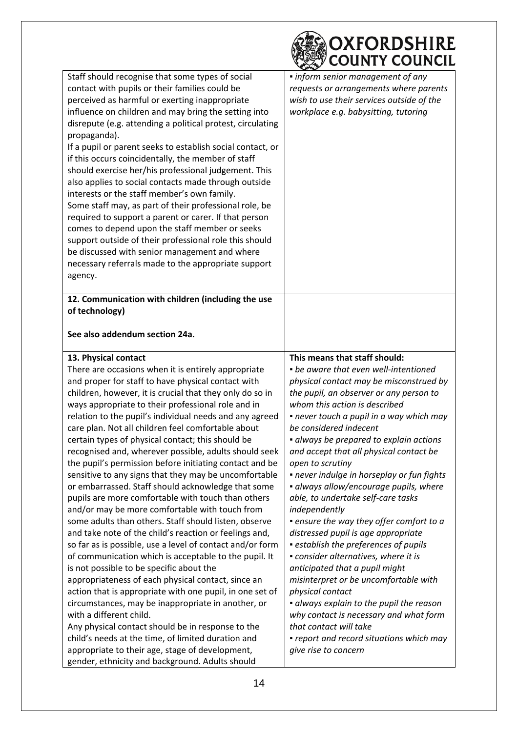|                                                                                                                                                                                                                                                                                                                                                                                                                                                                                                                                                                                                                                                                                                                                                                                                                                                                                                                                                                                                                                                                                                                                                                                                                                                                                                                                                                                                                            | OXFORDSHIRE<br><b>COUNTY COUNCIL</b>                                                                                                                                                                                                                                                                                                                                                                                                                                                                                                                                                                                                                                                                                                                                                                                                                                                                                                                                                |
|----------------------------------------------------------------------------------------------------------------------------------------------------------------------------------------------------------------------------------------------------------------------------------------------------------------------------------------------------------------------------------------------------------------------------------------------------------------------------------------------------------------------------------------------------------------------------------------------------------------------------------------------------------------------------------------------------------------------------------------------------------------------------------------------------------------------------------------------------------------------------------------------------------------------------------------------------------------------------------------------------------------------------------------------------------------------------------------------------------------------------------------------------------------------------------------------------------------------------------------------------------------------------------------------------------------------------------------------------------------------------------------------------------------------------|-------------------------------------------------------------------------------------------------------------------------------------------------------------------------------------------------------------------------------------------------------------------------------------------------------------------------------------------------------------------------------------------------------------------------------------------------------------------------------------------------------------------------------------------------------------------------------------------------------------------------------------------------------------------------------------------------------------------------------------------------------------------------------------------------------------------------------------------------------------------------------------------------------------------------------------------------------------------------------------|
| Staff should recognise that some types of social<br>contact with pupils or their families could be<br>perceived as harmful or exerting inappropriate<br>influence on children and may bring the setting into<br>disrepute (e.g. attending a political protest, circulating<br>propaganda).<br>If a pupil or parent seeks to establish social contact, or<br>if this occurs coincidentally, the member of staff<br>should exercise her/his professional judgement. This<br>also applies to social contacts made through outside<br>interests or the staff member's own family.<br>Some staff may, as part of their professional role, be<br>required to support a parent or carer. If that person<br>comes to depend upon the staff member or seeks<br>support outside of their professional role this should<br>be discussed with senior management and where<br>necessary referrals made to the appropriate support<br>agency.                                                                                                                                                                                                                                                                                                                                                                                                                                                                                            | • inform senior management of any<br>requests or arrangements where parents<br>wish to use their services outside of the<br>workplace e.g. babysitting, tutoring                                                                                                                                                                                                                                                                                                                                                                                                                                                                                                                                                                                                                                                                                                                                                                                                                    |
| 12. Communication with children (including the use<br>of technology)<br>See also addendum section 24a.                                                                                                                                                                                                                                                                                                                                                                                                                                                                                                                                                                                                                                                                                                                                                                                                                                                                                                                                                                                                                                                                                                                                                                                                                                                                                                                     |                                                                                                                                                                                                                                                                                                                                                                                                                                                                                                                                                                                                                                                                                                                                                                                                                                                                                                                                                                                     |
| 13. Physical contact<br>There are occasions when it is entirely appropriate<br>and proper for staff to have physical contact with<br>children, however, it is crucial that they only do so in<br>ways appropriate to their professional role and in<br>relation to the pupil's individual needs and any agreed<br>care plan. Not all children feel comfortable about<br>certain types of physical contact; this should be<br>recognised and, wherever possible, adults should seek<br>the pupil's permission before initiating contact and be<br>sensitive to any signs that they may be uncomfortable<br>or embarrassed. Staff should acknowledge that some<br>pupils are more comfortable with touch than others<br>and/or may be more comfortable with touch from<br>some adults than others. Staff should listen, observe<br>and take note of the child's reaction or feelings and,<br>so far as is possible, use a level of contact and/or form<br>of communication which is acceptable to the pupil. It<br>is not possible to be specific about the<br>appropriateness of each physical contact, since an<br>action that is appropriate with one pupil, in one set of<br>circumstances, may be inappropriate in another, or<br>with a different child.<br>Any physical contact should be in response to the<br>child's needs at the time, of limited duration and<br>appropriate to their age, stage of development, | This means that staff should:<br>• be aware that even well-intentioned<br>physical contact may be misconstrued by<br>the pupil, an observer or any person to<br>whom this action is described<br>· never touch a pupil in a way which may<br>be considered indecent<br>· always be prepared to explain actions<br>and accept that all physical contact be<br>open to scrutiny<br>• never indulge in horseplay or fun fights<br>· always allow/encourage pupils, where<br>able, to undertake self-care tasks<br>independently<br>• ensure the way they offer comfort to a<br>distressed pupil is age appropriate<br>• establish the preferences of pupils<br>· consider alternatives, where it is<br>anticipated that a pupil might<br>misinterpret or be uncomfortable with<br>physical contact<br>· always explain to the pupil the reason<br>why contact is necessary and what form<br>that contact will take<br>• report and record situations which may<br>give rise to concern |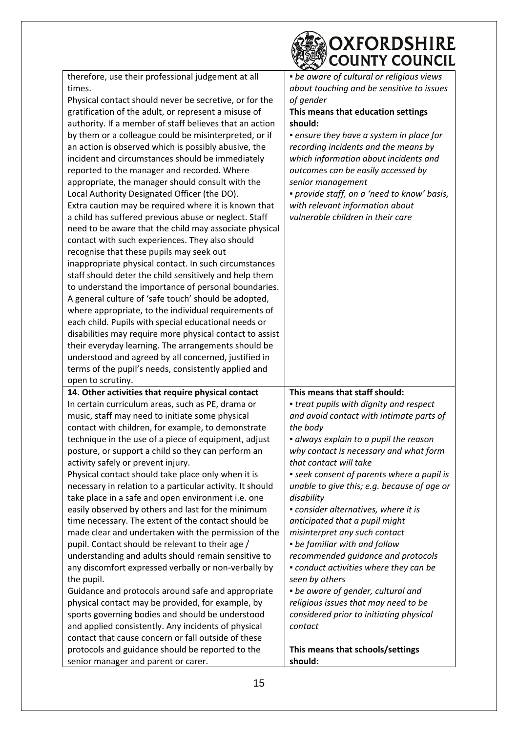|                                                           | OXFORDSHIRE<br><b>COUNTY COUNCIL</b>        |
|-----------------------------------------------------------|---------------------------------------------|
| therefore, use their professional judgement at all        | • be aware of cultural or religious views   |
| times.                                                    | about touching and be sensitive to issues   |
| Physical contact should never be secretive, or for the    | of gender                                   |
| gratification of the adult, or represent a misuse of      | This means that education settings          |
| authority. If a member of staff believes that an action   | should:                                     |
| by them or a colleague could be misinterpreted, or if     | • ensure they have a system in place for    |
| an action is observed which is possibly abusive, the      | recording incidents and the means by        |
| incident and circumstances should be immediately          | which information about incidents and       |
| reported to the manager and recorded. Where               | outcomes can be easily accessed by          |
| appropriate, the manager should consult with the          | senior management                           |
| Local Authority Designated Officer (the DO).              | · provide staff, on a 'need to know' basis, |
| Extra caution may be required where it is known that      | with relevant information about             |
| a child has suffered previous abuse or neglect. Staff     | vulnerable children in their care           |
| need to be aware that the child may associate physical    |                                             |
| contact with such experiences. They also should           |                                             |
| recognise that these pupils may seek out                  |                                             |
| inappropriate physical contact. In such circumstances     |                                             |
| staff should deter the child sensitively and help them    |                                             |
| to understand the importance of personal boundaries.      |                                             |
| A general culture of 'safe touch' should be adopted,      |                                             |
| where appropriate, to the individual requirements of      |                                             |
| each child. Pupils with special educational needs or      |                                             |
| disabilities may require more physical contact to assist  |                                             |
| their everyday learning. The arrangements should be       |                                             |
| understood and agreed by all concerned, justified in      |                                             |
| terms of the pupil's needs, consistently applied and      |                                             |
| open to scrutiny.                                         |                                             |
| 14. Other activities that require physical contact        | This means that staff should:               |
| In certain curriculum areas, such as PE, drama or         | • treat pupils with dignity and respect     |
| music, staff may need to initiate some physical           | and avoid contact with intimate parts of    |
| contact with children, for example, to demonstrate        | the body                                    |
| technique in the use of a piece of equipment, adjust      | · always explain to a pupil the reason      |
| posture, or support a child so they can perform an        | why contact is necessary and what form      |
| activity safely or prevent injury.                        | that contact will take                      |
| Physical contact should take place only when it is        | • seek consent of parents where a pupil is  |
| necessary in relation to a particular activity. It should | unable to give this; e.g. because of age or |
| take place in a safe and open environment i.e. one        | disability                                  |
| easily observed by others and last for the minimum        | • consider alternatives, where it is        |
| time necessary. The extent of the contact should be       | anticipated that a pupil might              |
| made clear and undertaken with the permission of the      | misinterpret any such contact               |
| pupil. Contact should be relevant to their age /          | • be familiar with and follow               |
| understanding and adults should remain sensitive to       | recommended guidance and protocols          |
| any discomfort expressed verbally or non-verbally by      | • conduct activities where they can be      |
| the pupil.                                                | seen by others                              |
| Guidance and protocols around safe and appropriate        | • be aware of gender, cultural and          |
| physical contact may be provided, for example, by         | religious issues that may need to be        |
| sports governing bodies and should be understood          | considered prior to initiating physical     |
| and applied consistently. Any incidents of physical       | contact                                     |
| contact that cause concern or fall outside of these       |                                             |
| protocols and guidance should be reported to the          | This means that schools/settings            |
| senior manager and parent or carer.                       | should:                                     |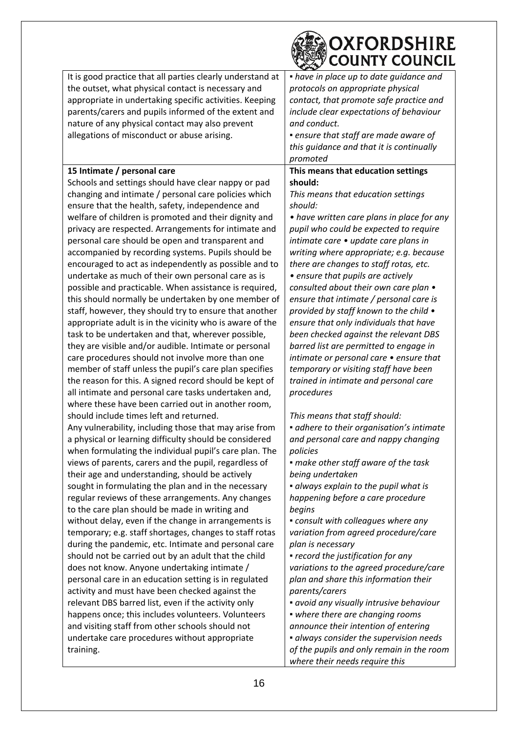|                                                                                                                                                                                                                                                                                                                                                                                                                                                                                                                                                                                                                                                                                                                                                                                                                                                                                                                                                                                                                                                                                                                                                                                      | OXFORDSHIRE<br><b>COUNTY COUNCIL</b>                                                                                                                                                                                                                                                                                                                                                                                                                                                                                                                                                                                                                                                                                                                                                 |
|--------------------------------------------------------------------------------------------------------------------------------------------------------------------------------------------------------------------------------------------------------------------------------------------------------------------------------------------------------------------------------------------------------------------------------------------------------------------------------------------------------------------------------------------------------------------------------------------------------------------------------------------------------------------------------------------------------------------------------------------------------------------------------------------------------------------------------------------------------------------------------------------------------------------------------------------------------------------------------------------------------------------------------------------------------------------------------------------------------------------------------------------------------------------------------------|--------------------------------------------------------------------------------------------------------------------------------------------------------------------------------------------------------------------------------------------------------------------------------------------------------------------------------------------------------------------------------------------------------------------------------------------------------------------------------------------------------------------------------------------------------------------------------------------------------------------------------------------------------------------------------------------------------------------------------------------------------------------------------------|
| It is good practice that all parties clearly understand at<br>the outset, what physical contact is necessary and<br>appropriate in undertaking specific activities. Keeping<br>parents/carers and pupils informed of the extent and<br>nature of any physical contact may also prevent<br>allegations of misconduct or abuse arising.                                                                                                                                                                                                                                                                                                                                                                                                                                                                                                                                                                                                                                                                                                                                                                                                                                                | • have in place up to date guidance and<br>protocols on appropriate physical<br>contact, that promote safe practice and<br>include clear expectations of behaviour<br>and conduct.<br>• ensure that staff are made aware of<br>this guidance and that it is continually<br>promoted                                                                                                                                                                                                                                                                                                                                                                                                                                                                                                  |
| 15 Intimate / personal care<br>Schools and settings should have clear nappy or pad<br>changing and intimate / personal care policies which<br>ensure that the health, safety, independence and<br>welfare of children is promoted and their dignity and<br>privacy are respected. Arrangements for intimate and<br>personal care should be open and transparent and<br>accompanied by recording systems. Pupils should be<br>encouraged to act as independently as possible and to<br>undertake as much of their own personal care as is<br>possible and practicable. When assistance is required,<br>this should normally be undertaken by one member of<br>staff, however, they should try to ensure that another<br>appropriate adult is in the vicinity who is aware of the<br>task to be undertaken and that, wherever possible,<br>they are visible and/or audible. Intimate or personal<br>care procedures should not involve more than one<br>member of staff unless the pupil's care plan specifies<br>the reason for this. A signed record should be kept of<br>all intimate and personal care tasks undertaken and,<br>where these have been carried out in another room, | This means that education settings<br>should:<br>This means that education settings<br>should:<br>• have written care plans in place for any<br>pupil who could be expected to require<br>intimate care • update care plans in<br>writing where appropriate; e.g. because<br>there are changes to staff rotas, etc.<br>• ensure that pupils are actively<br>consulted about their own care plan •<br>ensure that intimate / personal care is<br>provided by staff known to the child •<br>ensure that only individuals that have<br>been checked against the relevant DBS<br>barred list are permitted to engage in<br>intimate or personal care • ensure that<br>temporary or visiting staff have been<br>trained in intimate and personal care<br>procedures                       |
| should include times left and returned.<br>Any vulnerability, including those that may arise from<br>a physical or learning difficulty should be considered<br>when formulating the individual pupil's care plan. The<br>views of parents, carers and the pupil, regardless of<br>their age and understanding, should be actively<br>sought in formulating the plan and in the necessary<br>regular reviews of these arrangements. Any changes<br>to the care plan should be made in writing and<br>without delay, even if the change in arrangements is<br>temporary; e.g. staff shortages, changes to staff rotas<br>during the pandemic, etc. Intimate and personal care<br>should not be carried out by an adult that the child<br>does not know. Anyone undertaking intimate /<br>personal care in an education setting is in regulated<br>activity and must have been checked against the<br>relevant DBS barred list, even if the activity only<br>happens once; this includes volunteers. Volunteers<br>and visiting staff from other schools should not<br>undertake care procedures without appropriate<br>training.                                                       | This means that staff should:<br>• adhere to their organisation's intimate<br>and personal care and nappy changing<br>policies<br>• make other staff aware of the task<br>being undertaken<br>· always explain to the pupil what is<br>happening before a care procedure<br>begins<br>• consult with colleagues where any<br>variation from agreed procedure/care<br>plan is necessary<br>• record the justification for any<br>variations to the agreed procedure/care<br>plan and share this information their<br>parents/carers<br>• avoid any visually intrusive behaviour<br>• where there are changing rooms<br>announce their intention of entering<br>• always consider the supervision needs<br>of the pupils and only remain in the room<br>where their needs require this |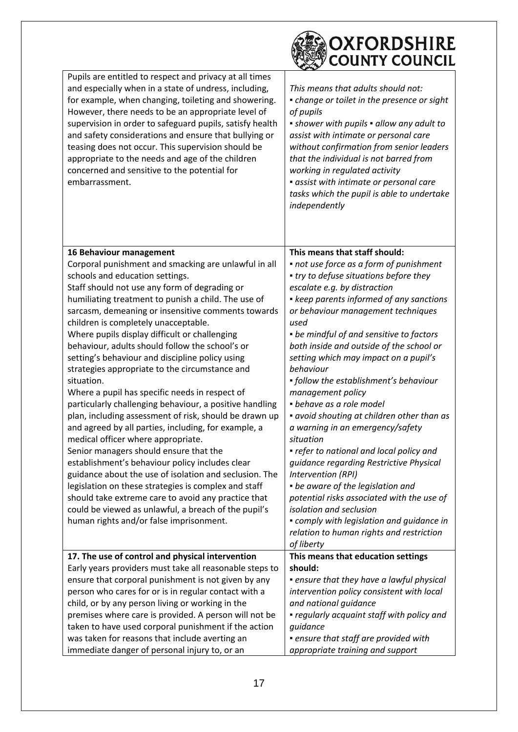|                                                                                                                                                                                                                                                                                                                                                                                                                                                                                                                                                                                                                                                                                                                                                                                                                                                                                                                                                                                                                                                                                                                                                                                               | OXFORDSHIRE<br><b>COUNTY COUNCIL</b>                                                                                                                                                                                                                                                                                                                                                                                                                                                                                                                                                                                                                                                                                                                                                                                                                                                                     |
|-----------------------------------------------------------------------------------------------------------------------------------------------------------------------------------------------------------------------------------------------------------------------------------------------------------------------------------------------------------------------------------------------------------------------------------------------------------------------------------------------------------------------------------------------------------------------------------------------------------------------------------------------------------------------------------------------------------------------------------------------------------------------------------------------------------------------------------------------------------------------------------------------------------------------------------------------------------------------------------------------------------------------------------------------------------------------------------------------------------------------------------------------------------------------------------------------|----------------------------------------------------------------------------------------------------------------------------------------------------------------------------------------------------------------------------------------------------------------------------------------------------------------------------------------------------------------------------------------------------------------------------------------------------------------------------------------------------------------------------------------------------------------------------------------------------------------------------------------------------------------------------------------------------------------------------------------------------------------------------------------------------------------------------------------------------------------------------------------------------------|
| Pupils are entitled to respect and privacy at all times                                                                                                                                                                                                                                                                                                                                                                                                                                                                                                                                                                                                                                                                                                                                                                                                                                                                                                                                                                                                                                                                                                                                       |                                                                                                                                                                                                                                                                                                                                                                                                                                                                                                                                                                                                                                                                                                                                                                                                                                                                                                          |
| and especially when in a state of undress, including,<br>for example, when changing, toileting and showering.<br>However, there needs to be an appropriate level of<br>supervision in order to safeguard pupils, satisfy health<br>and safety considerations and ensure that bullying or<br>teasing does not occur. This supervision should be<br>appropriate to the needs and age of the children<br>concerned and sensitive to the potential for<br>embarrassment.                                                                                                                                                                                                                                                                                                                                                                                                                                                                                                                                                                                                                                                                                                                          | This means that adults should not:<br>• change or toilet in the presence or sight<br>of pupils<br>• shower with pupils • allow any adult to<br>assist with intimate or personal care<br>without confirmation from senior leaders<br>that the individual is not barred from<br>working in regulated activity<br>• assist with intimate or personal care<br>tasks which the pupil is able to undertake<br>independently                                                                                                                                                                                                                                                                                                                                                                                                                                                                                    |
|                                                                                                                                                                                                                                                                                                                                                                                                                                                                                                                                                                                                                                                                                                                                                                                                                                                                                                                                                                                                                                                                                                                                                                                               |                                                                                                                                                                                                                                                                                                                                                                                                                                                                                                                                                                                                                                                                                                                                                                                                                                                                                                          |
| 16 Behaviour management<br>Corporal punishment and smacking are unlawful in all<br>schools and education settings.<br>Staff should not use any form of degrading or<br>humiliating treatment to punish a child. The use of<br>sarcasm, demeaning or insensitive comments towards<br>children is completely unacceptable.<br>Where pupils display difficult or challenging<br>behaviour, adults should follow the school's or<br>setting's behaviour and discipline policy using<br>strategies appropriate to the circumstance and<br>situation.<br>Where a pupil has specific needs in respect of<br>particularly challenging behaviour, a positive handling<br>plan, including assessment of risk, should be drawn up<br>and agreed by all parties, including, for example, a<br>medical officer where appropriate.<br>Senior managers should ensure that the<br>establishment's behaviour policy includes clear<br>guidance about the use of isolation and seclusion. The<br>legislation on these strategies is complex and staff<br>should take extreme care to avoid any practice that<br>could be viewed as unlawful, a breach of the pupil's<br>human rights and/or false imprisonment. | This means that staff should:<br>• not use force as a form of punishment<br>• try to defuse situations before they<br>escalate e.g. by distraction<br>• keep parents informed of any sanctions<br>or behaviour management techniques<br>used<br>• be mindful of and sensitive to factors<br>both inside and outside of the school or<br>setting which may impact on a pupil's<br>behaviour<br>• follow the establishment's behaviour<br>management policy<br>· behave as a role model<br>• avoid shouting at children other than as<br>a warning in an emergency/safety<br>situation<br>• refer to national and local policy and<br>guidance regarding Restrictive Physical<br>Intervention (RPI)<br>• be aware of the legislation and<br>potential risks associated with the use of<br>isolation and seclusion<br>• comply with legislation and guidance in<br>relation to human rights and restriction |
|                                                                                                                                                                                                                                                                                                                                                                                                                                                                                                                                                                                                                                                                                                                                                                                                                                                                                                                                                                                                                                                                                                                                                                                               | of liberty                                                                                                                                                                                                                                                                                                                                                                                                                                                                                                                                                                                                                                                                                                                                                                                                                                                                                               |
| 17. The use of control and physical intervention<br>Early years providers must take all reasonable steps to<br>ensure that corporal punishment is not given by any<br>person who cares for or is in regular contact with a<br>child, or by any person living or working in the<br>premises where care is provided. A person will not be<br>taken to have used corporal punishment if the action<br>was taken for reasons that include averting an                                                                                                                                                                                                                                                                                                                                                                                                                                                                                                                                                                                                                                                                                                                                             | This means that education settings<br>should:<br>• ensure that they have a lawful physical<br>intervention policy consistent with local<br>and national guidance<br>• regularly acquaint staff with policy and<br>guidance<br>• ensure that staff are provided with                                                                                                                                                                                                                                                                                                                                                                                                                                                                                                                                                                                                                                      |
| immediate danger of personal injury to, or an                                                                                                                                                                                                                                                                                                                                                                                                                                                                                                                                                                                                                                                                                                                                                                                                                                                                                                                                                                                                                                                                                                                                                 | appropriate training and support                                                                                                                                                                                                                                                                                                                                                                                                                                                                                                                                                                                                                                                                                                                                                                                                                                                                         |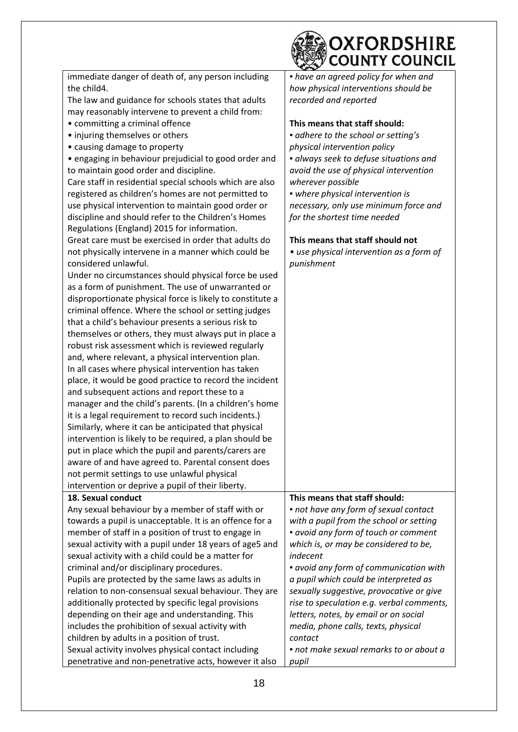|                                                                                                                 | OXFORDSHIRE<br><b>COUNTY COUNCIL</b>      |
|-----------------------------------------------------------------------------------------------------------------|-------------------------------------------|
| immediate danger of death of, any person including                                                              | • have an agreed policy for when and      |
| the child4.                                                                                                     | how physical interventions should be      |
| The law and guidance for schools states that adults                                                             | recorded and reported                     |
| may reasonably intervene to prevent a child from:                                                               |                                           |
| • committing a criminal offence                                                                                 | This means that staff should:             |
| • injuring themselves or others                                                                                 | · adhere to the school or setting's       |
| • causing damage to property                                                                                    | physical intervention policy              |
| • engaging in behaviour prejudicial to good order and                                                           | · always seek to defuse situations and    |
| to maintain good order and discipline.                                                                          | avoid the use of physical intervention    |
| Care staff in residential special schools which are also                                                        | wherever possible                         |
| registered as children's homes are not permitted to                                                             | · where physical intervention is          |
| use physical intervention to maintain good order or                                                             | necessary, only use minimum force and     |
| discipline and should refer to the Children's Homes                                                             | for the shortest time needed              |
| Regulations (England) 2015 for information.                                                                     |                                           |
| Great care must be exercised in order that adults do                                                            | This means that staff should not          |
| not physically intervene in a manner which could be                                                             | • use physical intervention as a form of  |
| considered unlawful.                                                                                            | punishment                                |
| Under no circumstances should physical force be used                                                            |                                           |
| as a form of punishment. The use of unwarranted or                                                              |                                           |
| disproportionate physical force is likely to constitute a                                                       |                                           |
| criminal offence. Where the school or setting judges                                                            |                                           |
| that a child's behaviour presents a serious risk to                                                             |                                           |
| themselves or others, they must always put in place a                                                           |                                           |
| robust risk assessment which is reviewed regularly                                                              |                                           |
| and, where relevant, a physical intervention plan.                                                              |                                           |
| In all cases where physical intervention has taken                                                              |                                           |
| place, it would be good practice to record the incident                                                         |                                           |
| and subsequent actions and report these to a                                                                    |                                           |
| manager and the child's parents. (In a children's home                                                          |                                           |
| it is a legal requirement to record such incidents.)                                                            |                                           |
| Similarly, where it can be anticipated that physical<br>intervention is likely to be required, a plan should be |                                           |
| put in place which the pupil and parents/carers are                                                             |                                           |
| aware of and have agreed to. Parental consent does                                                              |                                           |
| not permit settings to use unlawful physical                                                                    |                                           |
| intervention or deprive a pupil of their liberty.                                                               |                                           |
| 18. Sexual conduct                                                                                              | This means that staff should:             |
| Any sexual behaviour by a member of staff with or                                                               | • not have any form of sexual contact     |
| towards a pupil is unacceptable. It is an offence for a                                                         | with a pupil from the school or setting   |
| member of staff in a position of trust to engage in                                                             | • avoid any form of touch or comment      |
| sexual activity with a pupil under 18 years of age5 and                                                         | which is, or may be considered to be,     |
| sexual activity with a child could be a matter for                                                              | indecent                                  |
| criminal and/or disciplinary procedures.                                                                        | • avoid any form of communication with    |
| Pupils are protected by the same laws as adults in                                                              | a pupil which could be interpreted as     |
| relation to non-consensual sexual behaviour. They are                                                           | sexually suggestive, provocative or give  |
| additionally protected by specific legal provisions                                                             | rise to speculation e.g. verbal comments, |
| depending on their age and understanding. This                                                                  | letters, notes, by email or on social     |
| includes the prohibition of sexual activity with                                                                | media, phone calls, texts, physical       |
| children by adults in a position of trust.                                                                      | contact                                   |
| Sexual activity involves physical contact including                                                             | • not make sexual remarks to or about a   |
| penetrative and non-penetrative acts, however it also                                                           | pupil                                     |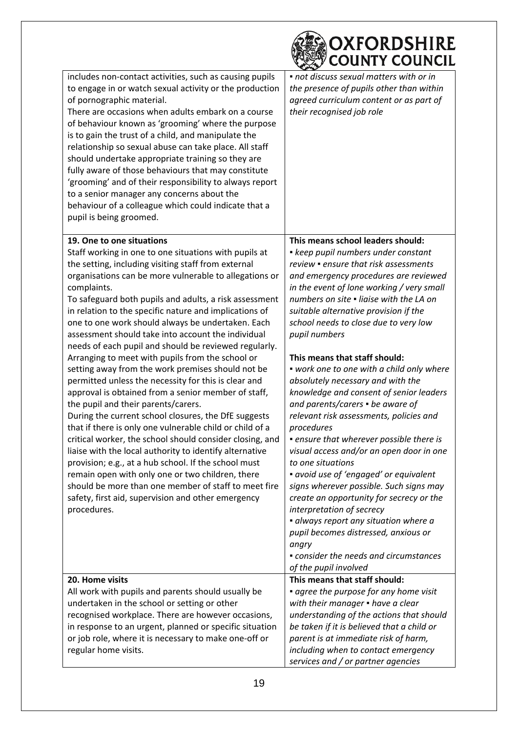|                                                                                                                                                                                                                                                                                                                                                                                                                                                                                                                                                                                                                                                                                                                                                                                                                                                                                                                                                                                                                                                                                                                                                                                                                                                               | OXFORDSHIRE<br><b>COUNTY COUNCIL</b>                                                                                                                                                                                                                                                                                                                                                                                                                                                                                                                                                                                                                                                                                                                                                                                                                                                                                                                                                                                            |
|---------------------------------------------------------------------------------------------------------------------------------------------------------------------------------------------------------------------------------------------------------------------------------------------------------------------------------------------------------------------------------------------------------------------------------------------------------------------------------------------------------------------------------------------------------------------------------------------------------------------------------------------------------------------------------------------------------------------------------------------------------------------------------------------------------------------------------------------------------------------------------------------------------------------------------------------------------------------------------------------------------------------------------------------------------------------------------------------------------------------------------------------------------------------------------------------------------------------------------------------------------------|---------------------------------------------------------------------------------------------------------------------------------------------------------------------------------------------------------------------------------------------------------------------------------------------------------------------------------------------------------------------------------------------------------------------------------------------------------------------------------------------------------------------------------------------------------------------------------------------------------------------------------------------------------------------------------------------------------------------------------------------------------------------------------------------------------------------------------------------------------------------------------------------------------------------------------------------------------------------------------------------------------------------------------|
| includes non-contact activities, such as causing pupils<br>to engage in or watch sexual activity or the production<br>of pornographic material.<br>There are occasions when adults embark on a course<br>of behaviour known as 'grooming' where the purpose<br>is to gain the trust of a child, and manipulate the<br>relationship so sexual abuse can take place. All staff<br>should undertake appropriate training so they are<br>fully aware of those behaviours that may constitute<br>'grooming' and of their responsibility to always report<br>to a senior manager any concerns about the<br>behaviour of a colleague which could indicate that a<br>pupil is being groomed.                                                                                                                                                                                                                                                                                                                                                                                                                                                                                                                                                                          | • not discuss sexual matters with or in<br>the presence of pupils other than within<br>agreed curriculum content or as part of<br>their recognised job role                                                                                                                                                                                                                                                                                                                                                                                                                                                                                                                                                                                                                                                                                                                                                                                                                                                                     |
| 19. One to one situations<br>Staff working in one to one situations with pupils at<br>the setting, including visiting staff from external<br>organisations can be more vulnerable to allegations or<br>complaints.<br>To safeguard both pupils and adults, a risk assessment<br>in relation to the specific nature and implications of<br>one to one work should always be undertaken. Each<br>assessment should take into account the individual<br>needs of each pupil and should be reviewed regularly.<br>Arranging to meet with pupils from the school or<br>setting away from the work premises should not be<br>permitted unless the necessity for this is clear and<br>approval is obtained from a senior member of staff,<br>the pupil and their parents/carers.<br>During the current school closures, the DfE suggests<br>that if there is only one vulnerable child or child of a<br>critical worker, the school should consider closing, and<br>liaise with the local authority to identify alternative<br>provision; e.g., at a hub school. If the school must<br>remain open with only one or two children, there<br>should be more than one member of staff to meet fire<br>safety, first aid, supervision and other emergency<br>procedures. | This means school leaders should:<br>• keep pupil numbers under constant<br>review • ensure that risk assessments<br>and emergency procedures are reviewed<br>in the event of lone working / very small<br>numbers on site . ligise with the LA on<br>suitable alternative provision if the<br>school needs to close due to very low<br>pupil numbers<br>This means that staff should:<br>• work one to one with a child only where<br>absolutely necessary and with the<br>knowledge and consent of senior leaders<br>and parents/carers • be aware of<br>relevant risk assessments, policies and<br>procedures<br>• ensure that wherever possible there is<br>visual access and/or an open door in one<br>to one situations<br>• avoid use of 'engaged' or equivalent<br>signs wherever possible. Such signs may<br>create an opportunity for secrecy or the<br>interpretation of secrecy<br>• always report any situation where a<br>pupil becomes distressed, anxious or<br>angry<br>• consider the needs and circumstances |
| 20. Home visits<br>All work with pupils and parents should usually be<br>undertaken in the school or setting or other<br>recognised workplace. There are however occasions,<br>in response to an urgent, planned or specific situation<br>or job role, where it is necessary to make one-off or<br>regular home visits.                                                                                                                                                                                                                                                                                                                                                                                                                                                                                                                                                                                                                                                                                                                                                                                                                                                                                                                                       | of the pupil involved<br>This means that staff should:<br>• agree the purpose for any home visit<br>with their manager • have a clear<br>understanding of the actions that should<br>be taken if it is believed that a child or<br>parent is at immediate risk of harm,<br>including when to contact emergency<br>services and / or partner agencies                                                                                                                                                                                                                                                                                                                                                                                                                                                                                                                                                                                                                                                                            |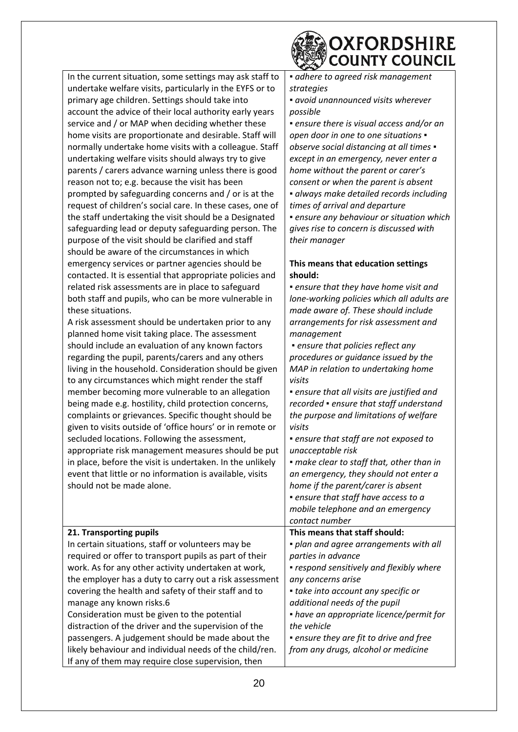

| In the current situation, some settings may ask staff to  | · adhere to agreed risk management         |
|-----------------------------------------------------------|--------------------------------------------|
| undertake welfare visits, particularly in the EYFS or to  | strategies                                 |
| primary age children. Settings should take into           | • avoid unannounced visits wherever        |
| account the advice of their local authority early years   | possible                                   |
| service and / or MAP when deciding whether these          | • ensure there is visual access and/or an  |
| home visits are proportionate and desirable. Staff will   | open door in one to one situations .       |
| normally undertake home visits with a colleague. Staff    | observe social distancing at all times .   |
| undertaking welfare visits should always try to give      | except in an emergency, never enter a      |
| parents / carers advance warning unless there is good     | home without the parent or carer's         |
| reason not to; e.g. because the visit has been            | consent or when the parent is absent       |
| prompted by safeguarding concerns and / or is at the      | · always make detailed records including   |
| request of children's social care. In these cases, one of | times of arrival and departure             |
| the staff undertaking the visit should be a Designated    | · ensure any behaviour or situation which  |
| safeguarding lead or deputy safeguarding person. The      | gives rise to concern is discussed with    |
| purpose of the visit should be clarified and staff        | their manager                              |
| should be aware of the circumstances in which             |                                            |
| emergency services or partner agencies should be          | This means that education settings         |
| contacted. It is essential that appropriate policies and  | should:                                    |
| related risk assessments are in place to safeguard        | · ensure that they have home visit and     |
| both staff and pupils, who can be more vulnerable in      | lone-working policies which all adults are |
| these situations.                                         | made aware of. These should include        |
| A risk assessment should be undertaken prior to any       | arrangements for risk assessment and       |
| planned home visit taking place. The assessment           | management                                 |
| should include an evaluation of any known factors         | • ensure that policies reflect any         |
| regarding the pupil, parents/carers and any others        | procedures or guidance issued by the       |
| living in the household. Consideration should be given    | MAP in relation to undertaking home        |
| to any circumstances which might render the staff         | visits                                     |
| member becoming more vulnerable to an allegation          | • ensure that all visits are justified and |
| being made e.g. hostility, child protection concerns,     | recorded • ensure that staff understand    |
| complaints or grievances. Specific thought should be      | the purpose and limitations of welfare     |
| given to visits outside of 'office hours' or in remote or | visits                                     |
| secluded locations. Following the assessment,             | • ensure that staff are not exposed to     |
| appropriate risk management measures should be put        | unacceptable risk                          |
| in place, before the visit is undertaken. In the unlikely | · make clear to staff that, other than in  |
| event that little or no information is available, visits  | an emergency, they should not enter a      |
| should not be made alone.                                 | home if the parent/carer is absent         |
|                                                           | • ensure that staff have access to a       |
|                                                           | mobile telephone and an emergency          |
|                                                           | contact number                             |
| 21. Transporting pupils                                   | This means that staff should:              |
| In certain situations, staff or volunteers may be         | · plan and agree arrangements with all     |
| required or offer to transport pupils as part of their    | parties in advance                         |
| work. As for any other activity undertaken at work,       | • respond sensitively and flexibly where   |
| the employer has a duty to carry out a risk assessment    | any concerns arise                         |
| covering the health and safety of their staff and to      | • take into account any specific or        |
| manage any known risks.6                                  | additional needs of the pupil              |
| Consideration must be given to the potential              | • have an appropriate licence/permit for   |
| distraction of the driver and the supervision of the      | the vehicle                                |
| passengers. A judgement should be made about the          | • ensure they are fit to drive and free    |
| likely behaviour and individual needs of the child/ren.   | from any drugs, alcohol or medicine        |
| If any of them may require close supervision, then        |                                            |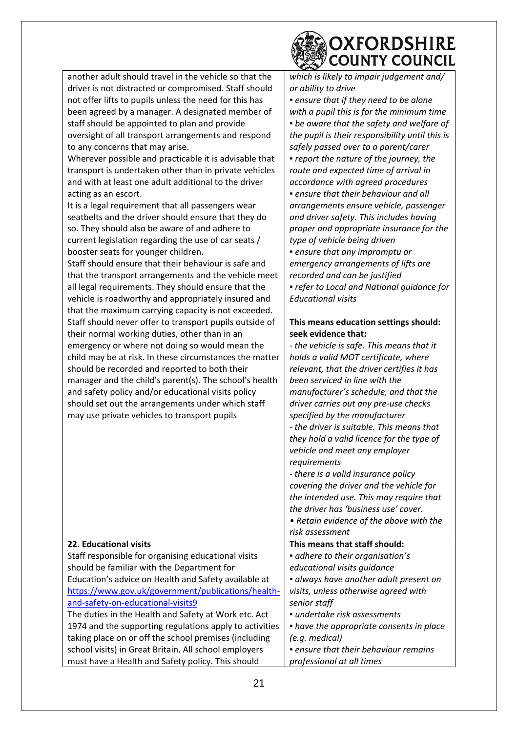|                                                                                                                 | <b>OXFORDSHIRE</b><br><b>COUNTY COUNCIL</b>                  |
|-----------------------------------------------------------------------------------------------------------------|--------------------------------------------------------------|
| another adult should travel in the vehicle so that the                                                          | which is likely to impair judgement and/                     |
| driver is not distracted or compromised. Staff should                                                           | or ability to drive                                          |
| not offer lifts to pupils unless the need for this has                                                          | · ensure that if they need to be alone                       |
| been agreed by a manager. A designated member of                                                                | with a pupil this is for the minimum time                    |
| staff should be appointed to plan and provide                                                                   | • be aware that the safety and welfare of                    |
| oversight of all transport arrangements and respond                                                             | the pupil is their responsibility until this is              |
| to any concerns that may arise.                                                                                 | safely passed over to a parent/carer                         |
| Wherever possible and practicable it is advisable that                                                          | • report the nature of the journey, the                      |
| transport is undertaken other than in private vehicles                                                          | route and expected time of arrival in                        |
| and with at least one adult additional to the driver                                                            | accordance with agreed procedures                            |
| acting as an escort.                                                                                            | · ensure that their behaviour and all                        |
| It is a legal requirement that all passengers wear                                                              | arrangements ensure vehicle, passenger                       |
| seatbelts and the driver should ensure that they do                                                             | and driver safety. This includes having                      |
| so. They should also be aware of and adhere to                                                                  | proper and appropriate insurance for the                     |
| current legislation regarding the use of car seats /                                                            | type of vehicle being driven                                 |
| booster seats for younger children.                                                                             | · ensure that any impromptu or                               |
| Staff should ensure that their behaviour is safe and                                                            | emergency arrangements of lifts are                          |
| that the transport arrangements and the vehicle meet                                                            | recorded and can be justified                                |
| all legal requirements. They should ensure that the                                                             | · refer to Local and National guidance for                   |
| vehicle is roadworthy and appropriately insured and                                                             | <b>Educational visits</b>                                    |
| that the maximum carrying capacity is not exceeded.                                                             |                                                              |
| Staff should never offer to transport pupils outside of                                                         | This means education settings should:<br>seek evidence that: |
| their normal working duties, other than in an                                                                   | - the vehicle is safe. This means that it                    |
| emergency or where not doing so would mean the                                                                  | holds a valid MOT certificate, where                         |
| child may be at risk. In these circumstances the matter<br>should be recorded and reported to both their        | relevant, that the driver certifies it has                   |
| manager and the child's parent(s). The school's health                                                          | been serviced in line with the                               |
| and safety policy and/or educational visits policy                                                              | manufacturer's schedule, and that the                        |
| should set out the arrangements under which staff                                                               | driver carries out any pre-use checks                        |
| may use private vehicles to transport pupils                                                                    | specified by the manufacturer                                |
|                                                                                                                 | - the driver is suitable. This means that                    |
|                                                                                                                 | they hold a valid licence for the type of                    |
|                                                                                                                 | vehicle and meet any employer                                |
|                                                                                                                 | requirements                                                 |
|                                                                                                                 | - there is a valid insurance policy                          |
|                                                                                                                 | covering the driver and the vehicle for                      |
|                                                                                                                 | the intended use. This may require that                      |
|                                                                                                                 | the driver has 'business use' cover.                         |
|                                                                                                                 | • Retain evidence of the above with the                      |
|                                                                                                                 | risk assessment                                              |
| 22. Educational visits                                                                                          | This means that staff should:                                |
| Staff responsible for organising educational visits                                                             | · adhere to their organisation's                             |
| should be familiar with the Department for                                                                      | educational visits guidance                                  |
| Education's advice on Health and Safety available at                                                            | · always have another adult present on                       |
| https://www.gov.uk/government/publications/health-                                                              | visits, unless otherwise agreed with                         |
| and-safety-on-educational-visits9                                                                               | senior staff<br>· undertake risk assessments                 |
| The duties in the Health and Safety at Work etc. Act<br>1974 and the supporting regulations apply to activities | • have the appropriate consents in place                     |
| taking place on or off the school premises (including                                                           | (e.g. medical)                                               |
| school visits) in Great Britain. All school employers                                                           | • ensure that their behaviour remains                        |
| must have a Health and Safety policy. This should                                                               | professional at all times                                    |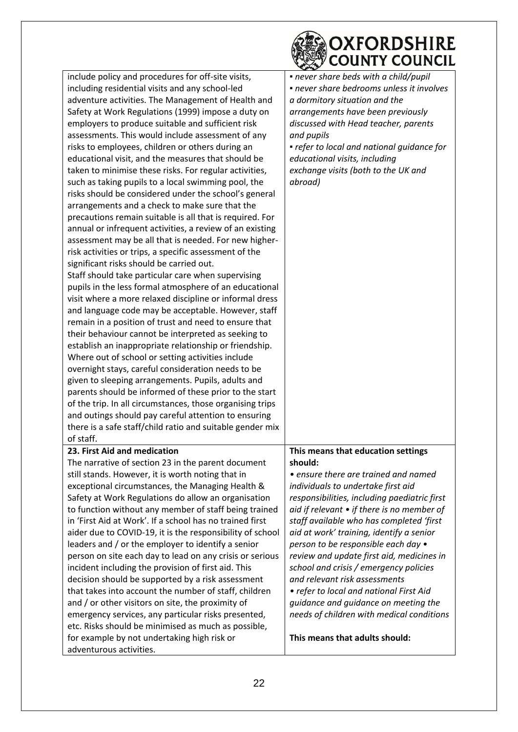| OXFORDSHIRE<br><b>COUNTY COUNCIL</b>                                                                                                 |
|--------------------------------------------------------------------------------------------------------------------------------------|
| include policy and procedures for off-site visits,<br>• never share beds with a child/pupil                                          |
| - never share bedrooms unless it involves<br>including residential visits and any school-led                                         |
| adventure activities. The Management of Health and<br>a dormitory situation and the                                                  |
| Safety at Work Regulations (1999) impose a duty on<br>arrangements have been previously                                              |
| employers to produce suitable and sufficient risk<br>discussed with Head teacher, parents                                            |
| assessments. This would include assessment of any<br>and pupils                                                                      |
| risks to employees, children or others during an<br>• refer to local and national guidance for                                       |
| educational visit, and the measures that should be<br>educational visits, including                                                  |
| taken to minimise these risks. For regular activities,<br>exchange visits (both to the UK and                                        |
| such as taking pupils to a local swimming pool, the<br>abroad)                                                                       |
| risks should be considered under the school's general                                                                                |
| arrangements and a check to make sure that the                                                                                       |
| precautions remain suitable is all that is required. For                                                                             |
| annual or infrequent activities, a review of an existing                                                                             |
| assessment may be all that is needed. For new higher-                                                                                |
| risk activities or trips, a specific assessment of the                                                                               |
| significant risks should be carried out.                                                                                             |
| Staff should take particular care when supervising                                                                                   |
| pupils in the less formal atmosphere of an educational                                                                               |
| visit where a more relaxed discipline or informal dress                                                                              |
| and language code may be acceptable. However, staff                                                                                  |
| remain in a position of trust and need to ensure that                                                                                |
| their behaviour cannot be interpreted as seeking to                                                                                  |
| establish an inappropriate relationship or friendship.                                                                               |
| Where out of school or setting activities include                                                                                    |
| overnight stays, careful consideration needs to be                                                                                   |
| given to sleeping arrangements. Pupils, adults and                                                                                   |
| parents should be informed of these prior to the start                                                                               |
| of the trip. In all circumstances, those organising trips                                                                            |
| and outings should pay careful attention to ensuring                                                                                 |
| there is a safe staff/child ratio and suitable gender mix                                                                            |
| of staff.                                                                                                                            |
| 23. First Aid and medication<br>This means that education settings                                                                   |
| The narrative of section 23 in the parent document<br>should:                                                                        |
| still stands. However, it is worth noting that in<br>• ensure there are trained and named                                            |
| exceptional circumstances, the Managing Health &<br>individuals to undertake first aid                                               |
| Safety at Work Regulations do allow an organisation<br>responsibilities, including paediatric first                                  |
| to function without any member of staff being trained<br>aid if relevant $\bullet$ if there is no member of                          |
| in 'First Aid at Work'. If a school has no trained first<br>staff available who has completed 'first                                 |
| aider due to COVID-19, it is the responsibility of school<br>aid at work' training, identify a senior                                |
| leaders and / or the employer to identify a senior<br>person to be responsible each day •                                            |
| person on site each day to lead on any crisis or serious<br>review and update first aid, medicines in                                |
| incident including the provision of first aid. This<br>school and crisis / emergency policies<br>and relevant risk assessments       |
| decision should be supported by a risk assessment                                                                                    |
| that takes into account the number of staff, children<br>• refer to local and national First Aid                                     |
| and / or other visitors on site, the proximity of<br>guidance and guidance on meeting the                                            |
| emergency services, any particular risks presented,<br>needs of children with medical conditions                                     |
| etc. Risks should be minimised as much as possible,<br>This means that adults should:<br>for example by not undertaking high risk or |
| adventurous activities.                                                                                                              |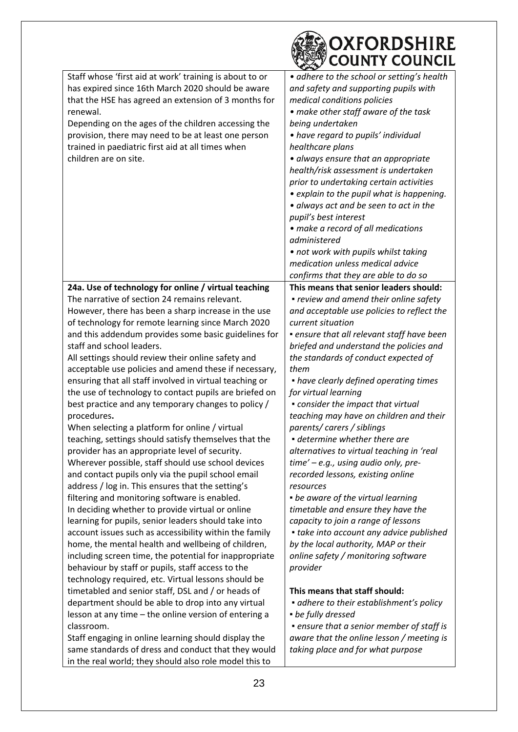|                                                                                                                                                                      | OXFORDSHIRE<br><b>COUNTY COUNCIL</b>                                                                               |
|----------------------------------------------------------------------------------------------------------------------------------------------------------------------|--------------------------------------------------------------------------------------------------------------------|
| Staff whose 'first aid at work' training is about to or<br>has expired since 16th March 2020 should be aware<br>that the HSE has agreed an extension of 3 months for | · adhere to the school or setting's health<br>and safety and supporting pupils with<br>medical conditions policies |
| renewal.<br>Depending on the ages of the children accessing the                                                                                                      | • make other staff aware of the task<br>being undertaken                                                           |
| provision, there may need to be at least one person<br>trained in paediatric first aid at all times when                                                             | • have regard to pupils' individual<br>healthcare plans                                                            |
| children are on site.                                                                                                                                                | • always ensure that an appropriate<br>health/risk assessment is undertaken                                        |
|                                                                                                                                                                      | prior to undertaking certain activities<br>• explain to the pupil what is happening.                               |
|                                                                                                                                                                      | • always act and be seen to act in the<br>pupil's best interest                                                    |
|                                                                                                                                                                      | • make a record of all medications<br>administered                                                                 |
|                                                                                                                                                                      | • not work with pupils whilst taking<br>medication unless medical advice                                           |
|                                                                                                                                                                      | confirms that they are able to do so                                                                               |
| 24a. Use of technology for online / virtual teaching<br>The narrative of section 24 remains relevant.                                                                | This means that senior leaders should:<br>• review and amend their online safety                                   |
| However, there has been a sharp increase in the use                                                                                                                  | and acceptable use policies to reflect the                                                                         |
| of technology for remote learning since March 2020                                                                                                                   | current situation                                                                                                  |
| and this addendum provides some basic guidelines for                                                                                                                 | . ensure that all relevant staff have been                                                                         |
| staff and school leaders.                                                                                                                                            | briefed and understand the policies and                                                                            |
| All settings should review their online safety and                                                                                                                   | the standards of conduct expected of                                                                               |
| acceptable use policies and amend these if necessary,                                                                                                                | them                                                                                                               |
| ensuring that all staff involved in virtual teaching or                                                                                                              | • have clearly defined operating times                                                                             |
| the use of technology to contact pupils are briefed on                                                                                                               | for virtual learning                                                                                               |
| best practice and any temporary changes to policy /                                                                                                                  | • consider the impact that virtual                                                                                 |
| procedures.                                                                                                                                                          | teaching may have on children and their                                                                            |
| When selecting a platform for online / virtual                                                                                                                       | parents/carers/siblings                                                                                            |
| teaching, settings should satisfy themselves that the                                                                                                                | • determine whether there are                                                                                      |
| provider has an appropriate level of security.                                                                                                                       | alternatives to virtual teaching in 'real                                                                          |
| Wherever possible, staff should use school devices<br>and contact pupils only via the pupil school email                                                             | $time' - e.g.,$ using audio only, pre-<br>recorded lessons, existing online                                        |
| address / log in. This ensures that the setting's                                                                                                                    | resources                                                                                                          |
| filtering and monitoring software is enabled.                                                                                                                        | • be aware of the virtual learning                                                                                 |
| In deciding whether to provide virtual or online                                                                                                                     | timetable and ensure they have the                                                                                 |
| learning for pupils, senior leaders should take into                                                                                                                 | capacity to join a range of lessons                                                                                |
| account issues such as accessibility within the family                                                                                                               | • take into account any advice published                                                                           |
| home, the mental health and wellbeing of children,                                                                                                                   | by the local authority, MAP or their                                                                               |
| including screen time, the potential for inappropriate                                                                                                               | online safety / monitoring software                                                                                |
| behaviour by staff or pupils, staff access to the                                                                                                                    | provider                                                                                                           |
| technology required, etc. Virtual lessons should be                                                                                                                  |                                                                                                                    |
| timetabled and senior staff, DSL and / or heads of                                                                                                                   | This means that staff should:                                                                                      |
| department should be able to drop into any virtual                                                                                                                   | • adhere to their establishment's policy                                                                           |
| lesson at any time - the online version of entering a                                                                                                                | • be fully dressed                                                                                                 |
| classroom.                                                                                                                                                           | • ensure that a senior member of staff is                                                                          |
| Staff engaging in online learning should display the<br>same standards of dress and conduct that they would                                                          | aware that the online lesson / meeting is<br>taking place and for what purpose                                     |
| in the real world; they should also role model this to                                                                                                               |                                                                                                                    |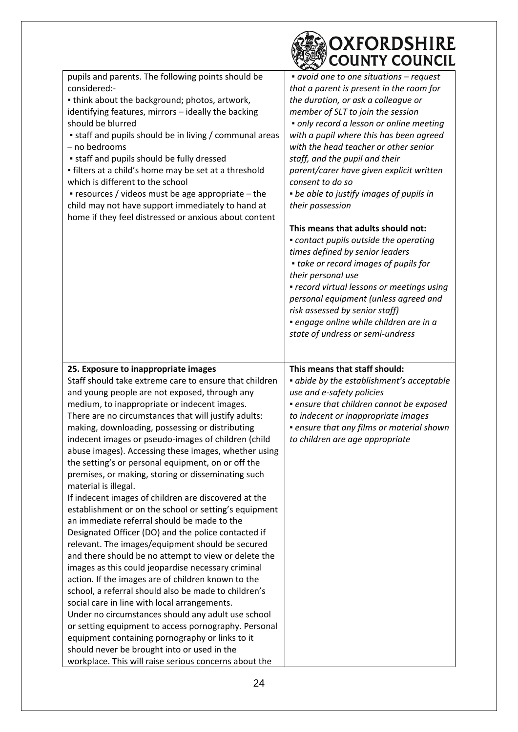|                                                                                                                                                                                                                                                                                                                                                                                                                                                                                                                                                                                                                                                                                                                                                                                                                                                                                                                                                                                                                                                                                                                                                                                                                                                                                                                                                                                               | OXFORDSHIRE<br><b>COUNTY COUNCIL</b>                                                                                                                                                                                                                                                                                                                                                                                                                                                                                                                                                                                                                                                                                                                                                                                                                        |
|-----------------------------------------------------------------------------------------------------------------------------------------------------------------------------------------------------------------------------------------------------------------------------------------------------------------------------------------------------------------------------------------------------------------------------------------------------------------------------------------------------------------------------------------------------------------------------------------------------------------------------------------------------------------------------------------------------------------------------------------------------------------------------------------------------------------------------------------------------------------------------------------------------------------------------------------------------------------------------------------------------------------------------------------------------------------------------------------------------------------------------------------------------------------------------------------------------------------------------------------------------------------------------------------------------------------------------------------------------------------------------------------------|-------------------------------------------------------------------------------------------------------------------------------------------------------------------------------------------------------------------------------------------------------------------------------------------------------------------------------------------------------------------------------------------------------------------------------------------------------------------------------------------------------------------------------------------------------------------------------------------------------------------------------------------------------------------------------------------------------------------------------------------------------------------------------------------------------------------------------------------------------------|
| pupils and parents. The following points should be<br>considered:-<br>. think about the background; photos, artwork,<br>identifying features, mirrors - ideally the backing<br>should be blurred<br>• staff and pupils should be in living / communal areas<br>- no bedrooms<br>• staff and pupils should be fully dressed<br>• filters at a child's home may be set at a threshold<br>which is different to the school<br>• resources / videos must be age appropriate - the<br>child may not have support immediately to hand at<br>home if they feel distressed or anxious about content                                                                                                                                                                                                                                                                                                                                                                                                                                                                                                                                                                                                                                                                                                                                                                                                   | • avoid one to one situations – request<br>that a parent is present in the room for<br>the duration, or ask a colleague or<br>member of SLT to join the session<br>· only record a lesson or online meeting<br>with a pupil where this has been agreed<br>with the head teacher or other senior<br>staff, and the pupil and their<br>parent/carer have given explicit written<br>consent to do so<br>• be able to justify images of pupils in<br>their possession<br>This means that adults should not:<br>• contact pupils outside the operating<br>times defined by senior leaders<br>• take or record images of pupils for<br>their personal use<br>• record virtual lessons or meetings using<br>personal equipment (unless agreed and<br>risk assessed by senior staff)<br>· engage online while children are in a<br>state of undress or semi-undress |
| 25. Exposure to inappropriate images<br>Staff should take extreme care to ensure that children<br>and young people are not exposed, through any<br>medium, to inappropriate or indecent images.<br>There are no circumstances that will justify adults:<br>making, downloading, possessing or distributing<br>indecent images or pseudo-images of children (child<br>abuse images). Accessing these images, whether using<br>the setting's or personal equipment, on or off the<br>premises, or making, storing or disseminating such<br>material is illegal.<br>If indecent images of children are discovered at the<br>establishment or on the school or setting's equipment<br>an immediate referral should be made to the<br>Designated Officer (DO) and the police contacted if<br>relevant. The images/equipment should be secured<br>and there should be no attempt to view or delete the<br>images as this could jeopardise necessary criminal<br>action. If the images are of children known to the<br>school, a referral should also be made to children's<br>social care in line with local arrangements.<br>Under no circumstances should any adult use school<br>or setting equipment to access pornography. Personal<br>equipment containing pornography or links to it<br>should never be brought into or used in the<br>workplace. This will raise serious concerns about the | This means that staff should:<br>· abide by the establishment's acceptable<br>use and e-safety policies<br>· ensure that children cannot be exposed<br>to indecent or inappropriate images<br>• ensure that any films or material shown<br>to children are age appropriate                                                                                                                                                                                                                                                                                                                                                                                                                                                                                                                                                                                  |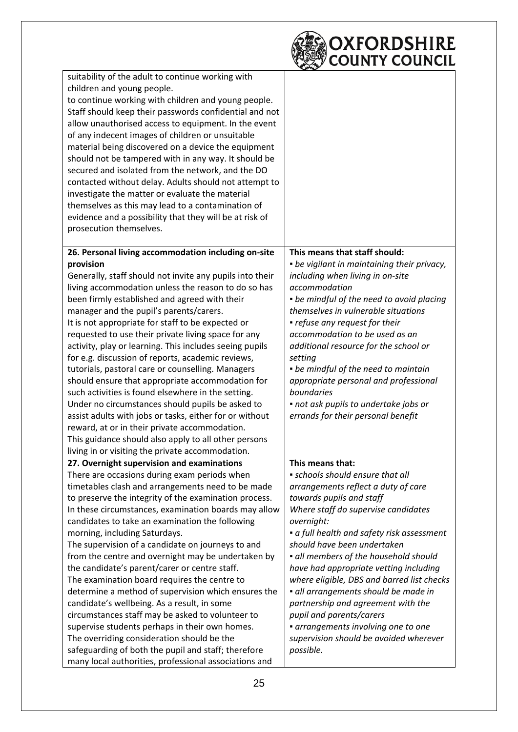

| suitability of the adult to continue working with        |                                             |
|----------------------------------------------------------|---------------------------------------------|
| children and young people.                               |                                             |
| to continue working with children and young people.      |                                             |
| Staff should keep their passwords confidential and not   |                                             |
| allow unauthorised access to equipment. In the event     |                                             |
| of any indecent images of children or unsuitable         |                                             |
| material being discovered on a device the equipment      |                                             |
|                                                          |                                             |
| should not be tampered with in any way. It should be     |                                             |
| secured and isolated from the network, and the DO        |                                             |
| contacted without delay. Adults should not attempt to    |                                             |
| investigate the matter or evaluate the material          |                                             |
| themselves as this may lead to a contamination of        |                                             |
| evidence and a possibility that they will be at risk of  |                                             |
| prosecution themselves.                                  |                                             |
| 26. Personal living accommodation including on-site      | This means that staff should:               |
| provision                                                | • be vigilant in maintaining their privacy, |
| Generally, staff should not invite any pupils into their | including when living in on-site            |
| living accommodation unless the reason to do so has      | accommodation                               |
| been firmly established and agreed with their            | • be mindful of the need to avoid placing   |
| manager and the pupil's parents/carers.                  | themselves in vulnerable situations         |
| It is not appropriate for staff to be expected or        | • refuse any request for their              |
| requested to use their private living space for any      | accommodation to be used as an              |
| activity, play or learning. This includes seeing pupils  |                                             |
|                                                          | additional resource for the school or       |
| for e.g. discussion of reports, academic reviews,        | setting                                     |
| tutorials, pastoral care or counselling. Managers        | • be mindful of the need to maintain        |
| should ensure that appropriate accommodation for         | appropriate personal and professional       |
| such activities is found elsewhere in the setting.       | boundaries                                  |
| Under no circumstances should pupils be asked to         | • not ask pupils to undertake jobs or       |
| assist adults with jobs or tasks, either for or without  | errands for their personal benefit          |
| reward, at or in their private accommodation.            |                                             |
| This guidance should also apply to all other persons     |                                             |
| living in or visiting the private accommodation.         |                                             |
| 27. Overnight supervision and examinations               | This means that:                            |
| There are occasions during exam periods when             | · schools should ensure that all            |
| timetables clash and arrangements need to be made        | arrangements reflect a duty of care         |
| to preserve the integrity of the examination process.    | towards pupils and staff                    |
| In these circumstances, examination boards may allow     | Where staff do supervise candidates         |
| candidates to take an examination the following          | overnight:                                  |
| morning, including Saturdays.                            | • a full health and safety risk assessment  |
| The supervision of a candidate on journeys to and        | should have been undertaken                 |
| from the centre and overnight may be undertaken by       | · all members of the household should       |
| the candidate's parent/carer or centre staff.            | have had appropriate vetting including      |
| The examination board requires the centre to             | where eligible, DBS and barred list checks  |
| determine a method of supervision which ensures the      | · all arrangements should be made in        |
| candidate's wellbeing. As a result, in some              | partnership and agreement with the          |
| circumstances staff may be asked to volunteer to         | pupil and parents/carers                    |
| supervise students perhaps in their own homes.           | · arrangements involving one to one         |
| The overriding consideration should be the               | supervision should be avoided wherever      |
| safeguarding of both the pupil and staff; therefore      | possible.                                   |
| many local authorities, professional associations and    |                                             |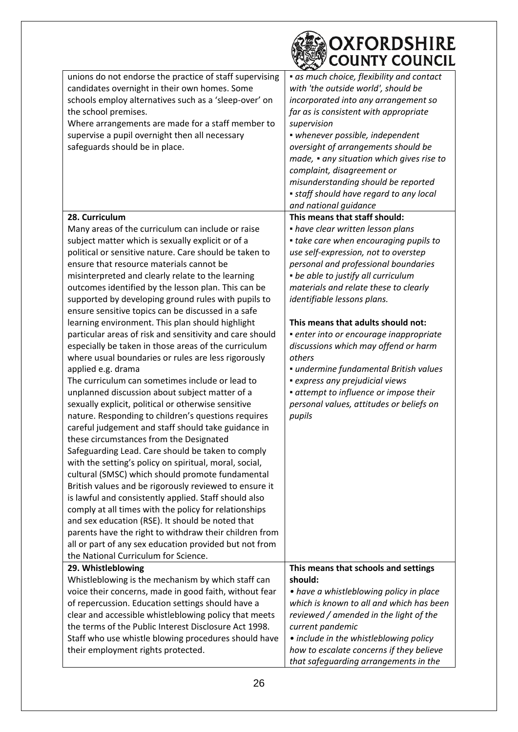| OXFORDSHIRE<br><b>COUNTY COUNCIL</b>                                                                                    |  |
|-------------------------------------------------------------------------------------------------------------------------|--|
| unions do not endorse the practice of staff supervising<br>• as much choice, flexibility and contact                    |  |
| candidates overnight in their own homes. Some<br>with 'the outside world', should be                                    |  |
| schools employ alternatives such as a 'sleep-over' on<br>incorporated into any arrangement so                           |  |
| the school premises.<br>far as is consistent with appropriate                                                           |  |
| Where arrangements are made for a staff member to<br>supervision                                                        |  |
| supervise a pupil overnight then all necessary<br>· whenever possible, independent                                      |  |
| safeguards should be in place.<br>oversight of arrangements should be                                                   |  |
| made, • any situation which gives rise to                                                                               |  |
| complaint, disagreement or                                                                                              |  |
| misunderstanding should be reported                                                                                     |  |
| • staff should have regard to any local                                                                                 |  |
| and national guidance                                                                                                   |  |
| This means that staff should:<br>28. Curriculum                                                                         |  |
| Many areas of the curriculum can include or raise<br>• have clear written lesson plans                                  |  |
| subject matter which is sexually explicit or of a<br>• take care when encouraging pupils to                             |  |
| political or sensitive nature. Care should be taken to<br>use self-expression, not to overstep                          |  |
| ensure that resource materials cannot be<br>personal and professional boundaries                                        |  |
| misinterpreted and clearly relate to the learning<br>• be able to justify all curriculum                                |  |
| outcomes identified by the lesson plan. This can be<br>materials and relate these to clearly                            |  |
| supported by developing ground rules with pupils to<br>identifiable lessons plans.                                      |  |
| ensure sensitive topics can be discussed in a safe                                                                      |  |
| This means that adults should not:<br>learning environment. This plan should highlight                                  |  |
| particular areas of risk and sensitivity and care should<br>· enter into or encourage inappropriate                     |  |
| especially be taken in those areas of the curriculum<br>discussions which may offend or harm                            |  |
| where usual boundaries or rules are less rigorously<br>others                                                           |  |
| applied e.g. drama<br>· undermine fundamental British values                                                            |  |
| The curriculum can sometimes include or lead to<br>• express any prejudicial views                                      |  |
| unplanned discussion about subject matter of a<br>• attempt to influence or impose their                                |  |
| sexually explicit, political or otherwise sensitive<br>personal values, attitudes or beliefs on                         |  |
| nature. Responding to children's questions requires<br>pupils                                                           |  |
| careful judgement and staff should take guidance in                                                                     |  |
| these circumstances from the Designated                                                                                 |  |
| Safeguarding Lead. Care should be taken to comply                                                                       |  |
| with the setting's policy on spiritual, moral, social,                                                                  |  |
| cultural (SMSC) which should promote fundamental                                                                        |  |
| British values and be rigorously reviewed to ensure it                                                                  |  |
| is lawful and consistently applied. Staff should also                                                                   |  |
| comply at all times with the policy for relationships                                                                   |  |
| and sex education (RSE). It should be noted that                                                                        |  |
| parents have the right to withdraw their children from                                                                  |  |
| all or part of any sex education provided but not from                                                                  |  |
| the National Curriculum for Science.                                                                                    |  |
| 29. Whistleblowing<br>This means that schools and settings                                                              |  |
| Whistleblowing is the mechanism by which staff can<br>should:                                                           |  |
| voice their concerns, made in good faith, without fear<br>• have a whistleblowing policy in place                       |  |
| of repercussion. Education settings should have a<br>which is known to all and which has been                           |  |
| clear and accessible whistleblowing policy that meets<br>reviewed / amended in the light of the                         |  |
| the terms of the Public Interest Disclosure Act 1998.<br>current pandemic                                               |  |
| Staff who use whistle blowing procedures should have<br>• include in the whistleblowing policy                          |  |
| their employment rights protected.<br>how to escalate concerns if they believe<br>that safeguarding arrangements in the |  |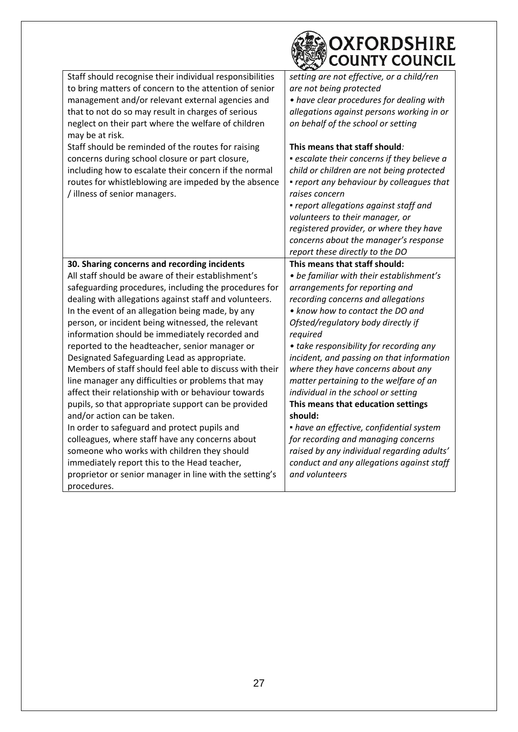|                                                                                                | OXFORDSHIRE<br><b>COUNTY COUNCIL</b>                                            |
|------------------------------------------------------------------------------------------------|---------------------------------------------------------------------------------|
| Staff should recognise their individual responsibilities                                       | setting are not effective, or a child/ren                                       |
| to bring matters of concern to the attention of senior                                         | are not being protected                                                         |
| management and/or relevant external agencies and                                               | • have clear procedures for dealing with                                        |
| that to not do so may result in charges of serious                                             | allegations against persons working in or                                       |
| neglect on their part where the welfare of children                                            | on behalf of the school or setting                                              |
| may be at risk.                                                                                |                                                                                 |
| Staff should be reminded of the routes for raising                                             | This means that staff should:                                                   |
| concerns during school closure or part closure,                                                | • escalate their concerns if they believe a                                     |
| including how to escalate their concern if the normal                                          | child or children are not being protected                                       |
| routes for whistleblowing are impeded by the absence                                           | • report any behaviour by colleagues that                                       |
| / illness of senior managers.                                                                  | raises concern                                                                  |
|                                                                                                | • report allegations against staff and                                          |
|                                                                                                | volunteers to their manager, or                                                 |
|                                                                                                | registered provider, or where they have                                         |
|                                                                                                | concerns about the manager's response                                           |
|                                                                                                | report these directly to the DO                                                 |
| 30. Sharing concerns and recording incidents                                                   | This means that staff should:                                                   |
|                                                                                                |                                                                                 |
| All staff should be aware of their establishment's                                             | • be familiar with their establishment's                                        |
| safeguarding procedures, including the procedures for                                          | arrangements for reporting and                                                  |
| dealing with allegations against staff and volunteers.                                         | recording concerns and allegations                                              |
| In the event of an allegation being made, by any                                               | • know how to contact the DO and                                                |
| person, or incident being witnessed, the relevant                                              | Ofsted/regulatory body directly if                                              |
| information should be immediately recorded and                                                 | required                                                                        |
| reported to the headteacher, senior manager or                                                 | • take responsibility for recording any                                         |
| Designated Safeguarding Lead as appropriate.                                                   | incident, and passing on that information                                       |
| Members of staff should feel able to discuss with their                                        | where they have concerns about any                                              |
| line manager any difficulties or problems that may                                             | matter pertaining to the welfare of an                                          |
| affect their relationship with or behaviour towards                                            | individual in the school or setting                                             |
| pupils, so that appropriate support can be provided                                            | This means that education settings                                              |
| and/or action can be taken.                                                                    | should:                                                                         |
| In order to safeguard and protect pupils and                                                   | • have an effective, confidential system<br>for recording and managing concerns |
| colleagues, where staff have any concerns about<br>someone who works with children they should | raised by any individual regarding adults'                                      |
| immediately report this to the Head teacher,                                                   |                                                                                 |
| proprietor or senior manager in line with the setting's                                        | conduct and any allegations against staff<br>and volunteers                     |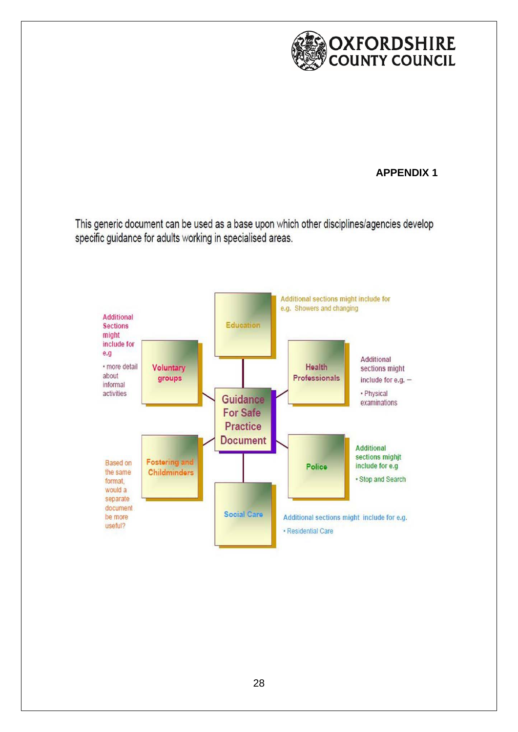

#### **APPENDIX 1**

This generic document can be used as a base upon which other disciplines/agencies develop specific guidance for adults working in specialised areas.